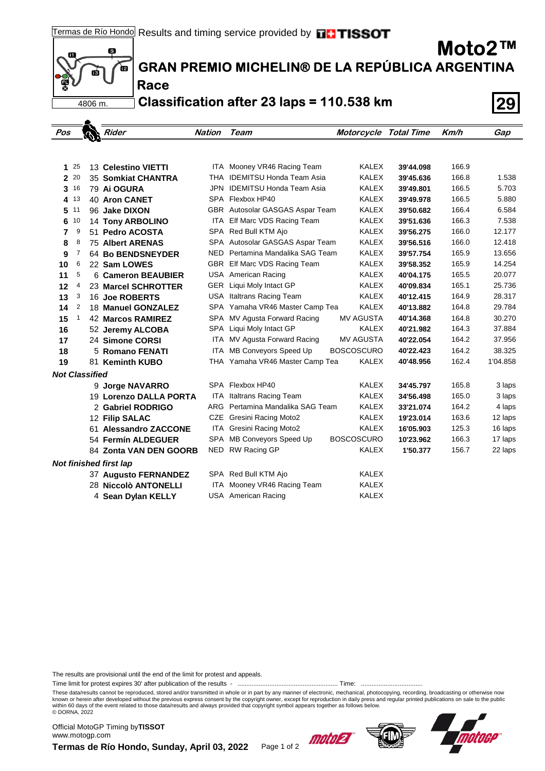

# **GRAN PREMIO MICHELIN® DE LA REPÚBLICA ARGENTINA**

**Race Classification after 23 laps = 110.538 km 29**

| Pos                   |          | Rider                         | Nation     | Team                             | <b>Motorcycle Total Time</b> |           | Km/h  | Gap      |
|-----------------------|----------|-------------------------------|------------|----------------------------------|------------------------------|-----------|-------|----------|
|                       |          |                               |            |                                  |                              |           |       |          |
|                       |          |                               |            |                                  |                              |           |       |          |
| 1                     | 25       | 13 Celestino VIETTI           |            | ITA Mooney VR46 Racing Team      | <b>KALEX</b>                 | 39'44.098 | 166.9 |          |
|                       | $2^{20}$ | 35 Somkiat CHANTRA            | THA        | <b>IDEMITSU Honda Team Asia</b>  | <b>KALEX</b>                 | 39'45.636 | 166.8 | 1.538    |
|                       | $3^{16}$ | 79 Ai OGURA                   | JPN.       | <b>IDEMITSU Honda Team Asia</b>  | <b>KALEX</b>                 | 39'49.801 | 166.5 | 5.703    |
|                       | 4 13     | <b>40 Aron CANET</b>          |            | SPA Flexbox HP40                 | <b>KALEX</b>                 | 39'49.978 | 166.5 | 5.880    |
| 5                     | 11       | 96 Jake DIXON                 |            | GBR Autosolar GASGAS Aspar Team  | <b>KALEX</b>                 | 39'50.682 | 166.4 | 6.584    |
| 6                     | 10       | <b>14 Tony ARBOLINO</b>       | ITA        | Elf Marc VDS Racing Team         | <b>KALEX</b>                 | 39'51.636 | 166.3 | 7.538    |
| 7                     | 9        | 51 Pedro ACOSTA               |            | SPA Red Bull KTM Ajo             | <b>KALEX</b>                 | 39'56.275 | 166.0 | 12.177   |
| 8                     | 8        | <b>75 Albert ARENAS</b>       |            | SPA Autosolar GASGAS Aspar Team  | <b>KALEX</b>                 | 39'56.516 | 166.0 | 12.418   |
| 9                     | 7        | 64 Bo BENDSNEYDER             |            | NED Pertamina Mandalika SAG Team | <b>KALEX</b>                 | 39'57.754 | 165.9 | 13.656   |
| 10                    | 6        | 22 Sam LOWES                  |            | GBR Elf Marc VDS Racing Team     | <b>KALEX</b>                 | 39'58.352 | 165.9 | 14.254   |
| 11                    | 5        | 6 Cameron BEAUBIER            |            | USA American Racing              | <b>KALEX</b>                 | 40'04.175 | 165.5 | 20.077   |
| 12                    | 4        | 23 Marcel SCHROTTER           |            | GER Liqui Moly Intact GP         | <b>KALEX</b>                 | 40'09.834 | 165.1 | 25.736   |
| 13                    | 3        | 16 Joe ROBERTS                |            | USA Italtrans Racing Team        | <b>KALEX</b>                 | 40'12.415 | 164.9 | 28.317   |
| 14                    | 2        | 18 Manuel GONZALEZ            |            | SPA Yamaha VR46 Master Camp Tea  | <b>KALEX</b>                 | 40'13.882 | 164.8 | 29.784   |
| 15                    | 1        | <b>42 Marcos RAMIREZ</b>      | SPA        | MV Agusta Forward Racing         | MV AGUSTA                    | 40'14.368 | 164.8 | 30.270   |
| 16                    |          | 52 Jeremy ALCOBA              | <b>SPA</b> | Liqui Moly Intact GP             | <b>KALEX</b>                 | 40'21.982 | 164.3 | 37.884   |
| 17                    |          | 24 Simone CORSI               | ITA        | MV Agusta Forward Racing         | <b>MV AGUSTA</b>             | 40'22.054 | 164.2 | 37.956   |
| 18                    |          | 5 Romano FENATI               | ITA.       | MB Conveyors Speed Up            | <b>BOSCOSCURO</b>            | 40'22.423 | 164.2 | 38.325   |
| 19                    |          | 81 Keminth KUBO               |            | THA Yamaha VR46 Master Camp Tea  | <b>KALEX</b>                 | 40'48.956 | 162.4 | 1'04.858 |
| <b>Not Classified</b> |          |                               |            |                                  |                              |           |       |          |
|                       |          | 9 Jorge NAVARRO               |            | SPA Flexbox HP40                 | <b>KALEX</b>                 | 34'45.797 | 165.8 | 3 laps   |
|                       |          | 19 Lorenzo DALLA PORTA        | <b>ITA</b> | Italtrans Racing Team            | <b>KALEX</b>                 | 34'56.498 | 165.0 | 3 laps   |
|                       |          | 2 Gabriel RODRIGO             | <b>ARG</b> | Pertamina Mandalika SAG Team     | <b>KALEX</b>                 | 33'21.074 | 164.2 | 4 laps   |
|                       |          | 12 Filip SALAC                |            | CZE Gresini Racing Moto2         | <b>KALEX</b>                 | 19'23.014 | 163.6 | 12 laps  |
|                       |          | 61 Alessandro ZACCONE         | ITA.       | <b>Gresini Racing Moto2</b>      | <b>KALEX</b>                 | 16'05.903 | 125.3 | 16 laps  |
|                       |          | 54 Fermín ALDEGUER            | SPA        | MB Conveyors Speed Up            | <b>BOSCOSCURO</b>            | 10'23.962 | 166.3 | 17 laps  |
|                       |          | 84 Zonta VAN DEN GOORB        |            | NED RW Racing GP                 | <b>KALEX</b>                 | 1'50.377  | 156.7 | 22 laps  |
|                       |          | <b>Not finished first lap</b> |            |                                  |                              |           |       |          |
|                       |          | <b>37 Augusto FERNANDEZ</b>   |            | SPA Red Bull KTM Ajo             | <b>KALEX</b>                 |           |       |          |
|                       |          | 28 Niccolò ANTONELLI          | ITA.       | Mooney VR46 Racing Team          | <b>KALEX</b>                 |           |       |          |
|                       |          | 4 Sean Dylan KELLY            |            | USA American Racing              | <b>KALEX</b>                 |           |       |          |
|                       |          |                               |            |                                  |                              |           |       |          |

The results are provisional until the end of the limit for protest and appeals.

Time limit for protest expires 30' after publication of the results - ......................................................... Time: ...................................

These data/results cannot be reproduced, stored and/or transmitted in whole or in part by any manner of electronic, mechanical, photocopying, recording, broadcasting or otherwise now<br>known or herein after developed without within 60 days of the event related to those data/results and always provided that copyright symbol appears together as follows below. © DORNA, 2022

Official MotoGP Timing by **TISSOT**www.motogp.com





**Moto2™**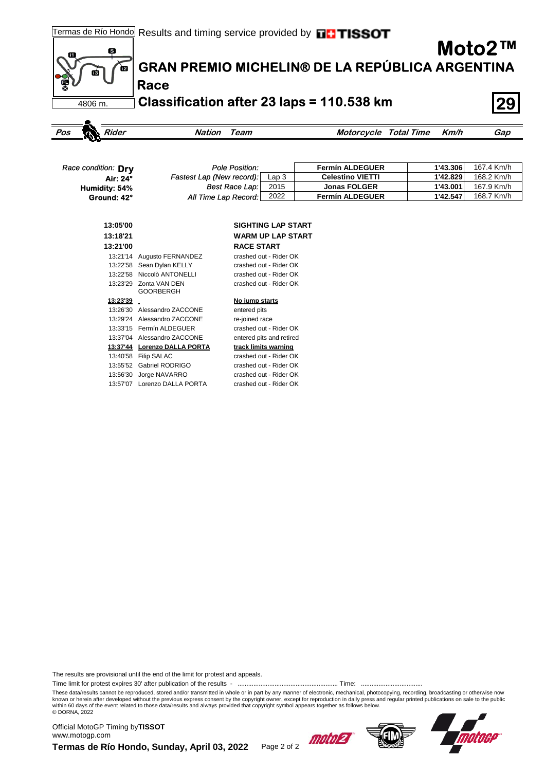

| Race condition: Drv | Pole Position:            |      | <b>Fermín ALDEGUER</b>  | 1'43.306 | 167.4 Km/h |
|---------------------|---------------------------|------|-------------------------|----------|------------|
| Air: 24°            | Fastest Lap (New record): | Lap3 | <b>Celestino VIETTI</b> | 1'42.829 | 168.2 Km/h |
| Humidity: 54%       | <b>Best Race Lap:</b>     | 2015 | <b>Jonas FOLGER</b>     | 1'43.001 | 167.9 Km/h |
| Ground: 42°         | All Time Lap Record:      | 2022 | <b>Fermín ALDEGUER</b>  | 1'42.547 | 168.7 Km/h |

| 13:05'00 |                                   | <b>SIGHTING LAP START</b> |
|----------|-----------------------------------|---------------------------|
| 13:18'21 |                                   | WARM UP LAP START         |
| 13:21'00 |                                   | <b>RACE START</b>         |
| 13:21'14 | Augusto FERNANDEZ                 | crashed out - Rider OK    |
| 13:22'58 | Sean Dylan KELLY                  | crashed out - Rider OK    |
| 13:22'58 | Niccolò ANTONELLI                 | crashed out - Rider OK    |
| 13:23'29 | Zonta VAN DEN<br><b>GOORBERGH</b> | crashed out - Rider OK    |
| 13:23'39 |                                   | No jump starts            |
| 13:26'30 | Alessandro ZACCONE                | entered pits              |
| 13:29'24 | Alessandro ZACCONE                | re-joined race            |
| 13:33'15 | Fermín ALDEGUER                   | crashed out - Rider OK    |
| 13:37'04 | Alessandro ZACCONE                | entered pits and retired  |
| 13:37'44 | <b>Lorenzo DALLA PORTA</b>        | track limits warning      |
| 13:40'58 | <b>Filip SALAC</b>                | crashed out - Rider OK    |
| 13:55'52 | Gabriel RODRIGO                   | crashed out - Rider OK    |
| 13:56'30 | Jorge NAVARRO                     | crashed out - Rider OK    |
| 13:57'07 | Lorenzo DALLA PORTA               | crashed out - Rider OK    |

The results are provisional until the end of the limit for protest and appeals.

Time limit for protest expires 30' after publication of the results - ......................................................... Time: ...................................

These data/results cannot be reproduced, stored and/or transmitted in whole or in part by any manner of electronic, mechanical, photocopying, recording, broadcasting or otherwise now<br>known or herein after developed without within 60 days of the event related to those data/results and always provided that copyright symbol appears together as follows below. © DORNA, 2022

Termas de Río Hondo, Sunday, April 03, 2022 Page 2 of 2 Official MotoGP Timing by **TISSOT**www.motogp.com



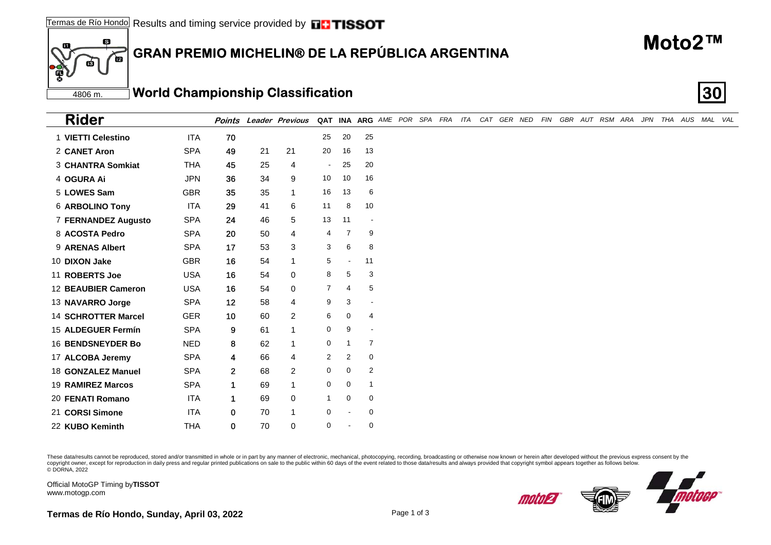#### 6 **GRAN PREMIO MICHELIN® DE LA REPÚBLICA ARGENTINA** 一

#### 4806 m.**World Championship Classification 30**

| <b>Rider</b>               |            |                 |    | <b>Points Leader Previous</b> |                |                |                          |  |  |  |  |  |  | QAT INA ARG AME POR SPA FRA ITA CAT GER NED FIN GBR AUT RSM ARA JPN THA AUS MAL VAL |  |  |  |
|----------------------------|------------|-----------------|----|-------------------------------|----------------|----------------|--------------------------|--|--|--|--|--|--|-------------------------------------------------------------------------------------|--|--|--|
| 1 VIETTI Celestino         | <b>ITA</b> | 70              |    |                               | 25             | 20             | 25                       |  |  |  |  |  |  |                                                                                     |  |  |  |
| 2 CANET Aron               | <b>SPA</b> | 49              | 21 | 21                            | 20             | 16             | 13                       |  |  |  |  |  |  |                                                                                     |  |  |  |
| 3 CHANTRA Somkiat          | <b>THA</b> | 45              | 25 | $\overline{\mathbf{4}}$       | $\sim$         | 25             | 20                       |  |  |  |  |  |  |                                                                                     |  |  |  |
| 4 OGURA Ai                 | <b>JPN</b> | 36              | 34 | 9                             | 10             | 10             | 16                       |  |  |  |  |  |  |                                                                                     |  |  |  |
| 5 LOWES Sam                | <b>GBR</b> | 35              | 35 | -1                            | 16             | 13             | 6                        |  |  |  |  |  |  |                                                                                     |  |  |  |
| <b>6 ARBOLINO Tony</b>     | ITA        | 29              | 41 | 6                             | 11             | 8              | 10                       |  |  |  |  |  |  |                                                                                     |  |  |  |
| 7 FERNANDEZ Augusto        | <b>SPA</b> | 24              | 46 | 5                             | 13             | 11             | $\overline{\phantom{a}}$ |  |  |  |  |  |  |                                                                                     |  |  |  |
| 8 ACOSTA Pedro             | <b>SPA</b> | 20              | 50 | $\overline{4}$                | 4              | 7              | 9                        |  |  |  |  |  |  |                                                                                     |  |  |  |
| 9 ARENAS Albert            | <b>SPA</b> | 17              | 53 | 3                             | 3              | 6              | 8                        |  |  |  |  |  |  |                                                                                     |  |  |  |
| 10 DIXON Jake              | <b>GBR</b> | 16              | 54 |                               | 5              | $\blacksquare$ | 11                       |  |  |  |  |  |  |                                                                                     |  |  |  |
| 11 ROBERTS Joe             | <b>USA</b> | 16              | 54 | $\mathbf 0$                   | 8              | 5              | 3                        |  |  |  |  |  |  |                                                                                     |  |  |  |
| 12 BEAUBIER Cameron        | <b>USA</b> | 16              | 54 | $\mathbf 0$                   | $\overline{7}$ | 4              | 5                        |  |  |  |  |  |  |                                                                                     |  |  |  |
| 13 NAVARRO Jorge           | <b>SPA</b> | 12              | 58 | $\overline{4}$                | 9              | 3              | $\overline{\phantom{a}}$ |  |  |  |  |  |  |                                                                                     |  |  |  |
| <b>14 SCHROTTER Marcel</b> | <b>GER</b> | 10 <sub>1</sub> | 60 | $\overline{2}$                | 6              | $\mathbf 0$    | 4                        |  |  |  |  |  |  |                                                                                     |  |  |  |
| 15 ALDEGUER Fermín         | <b>SPA</b> | 9               | 61 | $\overline{1}$                | $\mathbf 0$    | 9              | $\overline{\phantom{a}}$ |  |  |  |  |  |  |                                                                                     |  |  |  |
| 16 BENDSNEYDER Bo          | <b>NED</b> | 8               | 62 | $\overline{1}$                | 0              |                | 7                        |  |  |  |  |  |  |                                                                                     |  |  |  |
| 17 ALCOBA Jeremy           | <b>SPA</b> | 4               | 66 | $\overline{4}$                | $\overline{2}$ | $\overline{2}$ | $\mathbf 0$              |  |  |  |  |  |  |                                                                                     |  |  |  |
| 18 GONZALEZ Manuel         | <b>SPA</b> | $\mathbf{2}$    | 68 | $\overline{2}$                | 0              | $\mathbf 0$    | 2                        |  |  |  |  |  |  |                                                                                     |  |  |  |
| 19 RAMIREZ Marcos          | <b>SPA</b> | $\mathbf{1}$    | 69 | 1                             | 0              | $\mathbf 0$    | 1                        |  |  |  |  |  |  |                                                                                     |  |  |  |
| 20 FENATI Romano           | <b>ITA</b> | $\mathbf 1$     | 69 | $\mathbf 0$                   | $\mathbf{1}$   | $\mathbf 0$    | $\mathbf 0$              |  |  |  |  |  |  |                                                                                     |  |  |  |
| 21 CORSI Simone            | <b>ITA</b> | 0               | 70 |                               | 0              |                | $\mathbf 0$              |  |  |  |  |  |  |                                                                                     |  |  |  |
| 22 KUBO Keminth            | <b>THA</b> | 0               | 70 | 0                             | 0              | ۰              | $\mathbf 0$              |  |  |  |  |  |  |                                                                                     |  |  |  |

These data/results cannot be reproduced, stored and/or transmitted in whole or in part by any manner of electronic, mechanical, photocopying, recording, broadcasting or otherwise now known or herein after developed without copyright owner, except for reproduction in daily press and regular printed publications on sale to the public within 60 days of the event related to those data/results and always provided that copyright symbol appears tog

Official MotoGP Timing by **TISSOT**www.motogp.com

60

ПŚ







*moloj* 2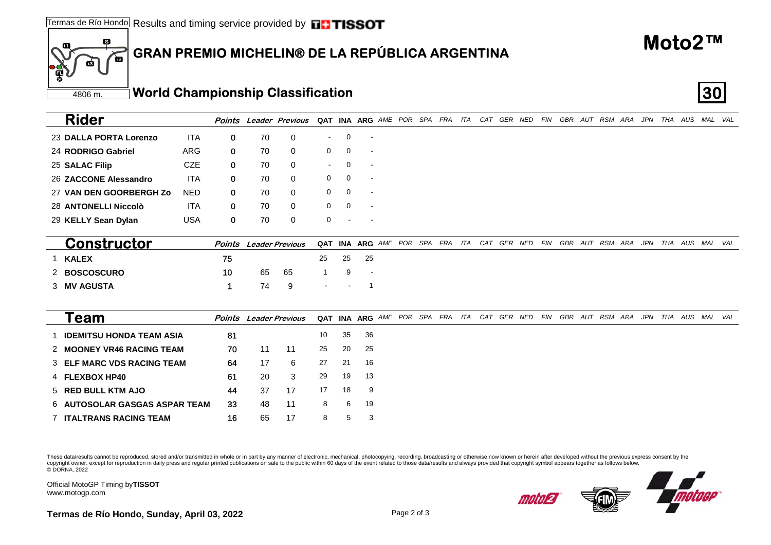25 70 0 **SALAC Filip** CZE 0 -0 -

23 70 0 **DALLA PORTA Lorenzo**

24 70 0 **RODRIGO Gabriel**ARG

26 70 0 **ZACCONE Alessandro**

27 70 0 **VAN DEN GOORBERGH Zo**

#### 6 **GRAN PREMIO MICHELIN® DE LA REPÚBLICA ARGENTINA** 価

**o** ITA 0 70 0 - 0 -

**o** ITA 0 70 0 0 0 -

**o** NED 0 70 0 0 0 0

G 0 70 0 0 0 -

Official MotoGP Timing by **TISSOT**www.motogp.com

4806 m.

面

60

ш,

**Rider**

**Termas de Río Hondo, Sunday, April 03, 2022** Page 2 of 3

| 28 ANTONELLI Niccolò            | 0                                                         | 70 | 0      | 0                                                       | $\Omega$ |                          |  |  |  |  |  |  |                                                                 |  |                                                                                                                                                                                                                                                                                                                                                                                                                                                                  |                                                                                                        |
|---------------------------------|-----------------------------------------------------------|----|--------|---------------------------------------------------------|----------|--------------------------|--|--|--|--|--|--|-----------------------------------------------------------------|--|------------------------------------------------------------------------------------------------------------------------------------------------------------------------------------------------------------------------------------------------------------------------------------------------------------------------------------------------------------------------------------------------------------------------------------------------------------------|--------------------------------------------------------------------------------------------------------|
| 29 KELLY Sean Dylan             | 0                                                         | 70 | 0      | 0                                                       |          |                          |  |  |  |  |  |  |                                                                 |  |                                                                                                                                                                                                                                                                                                                                                                                                                                                                  |                                                                                                        |
| <b>Constructor</b>              |                                                           |    |        | <b>QAT</b>                                              |          |                          |  |  |  |  |  |  |                                                                 |  |                                                                                                                                                                                                                                                                                                                                                                                                                                                                  |                                                                                                        |
| <b>KALEX</b>                    | 75                                                        |    |        | 25                                                      | 25       | 25                       |  |  |  |  |  |  |                                                                 |  |                                                                                                                                                                                                                                                                                                                                                                                                                                                                  |                                                                                                        |
| 2 BOSCOSCURO                    | 10                                                        | 65 | 65     |                                                         | 9        | $\overline{\phantom{a}}$ |  |  |  |  |  |  |                                                                 |  |                                                                                                                                                                                                                                                                                                                                                                                                                                                                  |                                                                                                        |
| 3 MV AGUSTA                     | 1                                                         | 74 | 9      |                                                         |          |                          |  |  |  |  |  |  |                                                                 |  |                                                                                                                                                                                                                                                                                                                                                                                                                                                                  |                                                                                                        |
| Team                            |                                                           |    |        |                                                         |          |                          |  |  |  |  |  |  |                                                                 |  |                                                                                                                                                                                                                                                                                                                                                                                                                                                                  |                                                                                                        |
| <b>IDEMITSU HONDA TEAM ASIA</b> | 81                                                        |    |        | 10                                                      | 35       | 36                       |  |  |  |  |  |  |                                                                 |  |                                                                                                                                                                                                                                                                                                                                                                                                                                                                  |                                                                                                        |
| 2 MOONEY VR46 RACING TEAM       | 70                                                        | 11 | 11     | 25                                                      | 20       | 25                       |  |  |  |  |  |  |                                                                 |  |                                                                                                                                                                                                                                                                                                                                                                                                                                                                  |                                                                                                        |
| 3 ELF MARC VDS RACING TEAM      | 64                                                        | 17 | 6      | 27                                                      | 21       | 16                       |  |  |  |  |  |  |                                                                 |  |                                                                                                                                                                                                                                                                                                                                                                                                                                                                  |                                                                                                        |
| 4 FLEXBOX HP40                  | 61                                                        | 20 | 3      | 29                                                      | 19       | 13                       |  |  |  |  |  |  |                                                                 |  |                                                                                                                                                                                                                                                                                                                                                                                                                                                                  |                                                                                                        |
| 5 RED BULL KTM AJO              | 44                                                        | 37 | 17     | 17                                                      | 18       | 9                        |  |  |  |  |  |  |                                                                 |  |                                                                                                                                                                                                                                                                                                                                                                                                                                                                  |                                                                                                        |
|                                 | 33                                                        | 48 | 11     | 8                                                       | 6        | 19                       |  |  |  |  |  |  |                                                                 |  |                                                                                                                                                                                                                                                                                                                                                                                                                                                                  |                                                                                                        |
| <b>7 ITALTRANS RACING TEAM</b>  | 16                                                        | 65 | 17     | 8                                                       | 5        | 3                        |  |  |  |  |  |  |                                                                 |  |                                                                                                                                                                                                                                                                                                                                                                                                                                                                  |                                                                                                        |
|                                 |                                                           |    |        |                                                         |          |                          |  |  |  |  |  |  |                                                                 |  |                                                                                                                                                                                                                                                                                                                                                                                                                                                                  |                                                                                                        |
|                                 |                                                           |    |        |                                                         |          |                          |  |  |  |  |  |  |                                                                 |  |                                                                                                                                                                                                                                                                                                                                                                                                                                                                  |                                                                                                        |
|                                 | <b>ITA</b><br><b>USA</b><br>6 AUTOSOLAR GASGAS ASPAR TEAM |    | Points | <b>Leader Previous</b><br><b>Points</b> Leader Previous |          |                          |  |  |  |  |  |  | QAT INA ARG AME POR SPA FRA ITA CAT GER NED FIN GBR AUT RSM ARA |  | These data/results cannot be reproduced, stored and/or transmitted in whole or in part by any manner of electronic, mechanical, photocopying, recording, broadcasting or otherwise now known or herein after developed without<br>copyright owner, except for reproduction in daily press and regular printed publications on sale to the public within 60 days of the event related to those data/results and always provided that copyright symbol appears tog | INA ARG AME POR SPA FRA ITA CAT GER NED FIN GBR AUT RSM ARA JPN THA AUS MAL VAL<br>JPN THA AUS MAL VAL |





Points Leader Previous QAT INA ARG AME POR SPA FRA ITA CAT GER NED FIN GBR AUT RSM ARA JPN THA AUS MAL VAL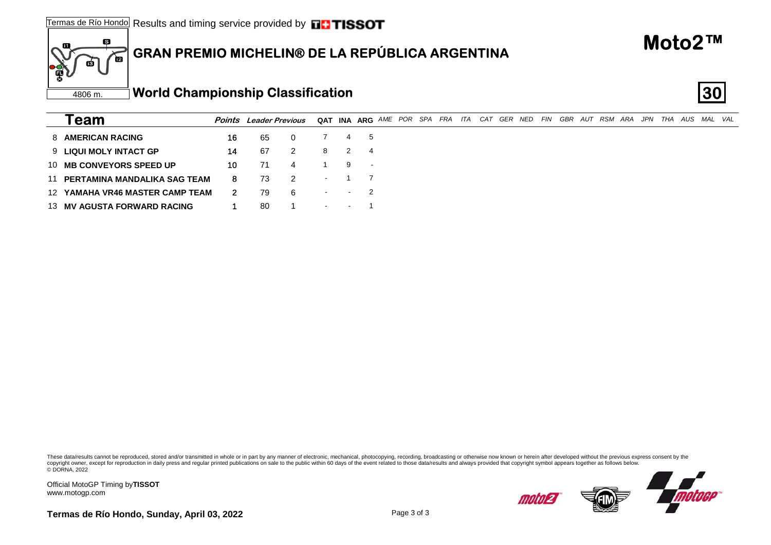**G** 16 65 0 7 4 5

**P** 14 67 2 8 2 4

**P** 10 71 4 1 9 -

**M 8** 73 2 1 7

**M 2** 79 6 - - 2

**G** 1 80 1 - - 1

#### 6 **GRAN PREMIO MICHELIN® DE LA REPÚBLICA ARGENTINA** 一

These data/results cannot be reproduced, stored and/or transmitted in whole or in part by any manner of electronic, mechanical, photocopying, recording, broadcasting or otherwise now known or herein after developed without copyright owner, except for reproduction in daily press and regular printed publications on sale to the public within 60 days of the event related to those data/results and always provided that copyright symbol appears tog © DORNA, 2022

Official MotoGP Timing by **TISSOT**www.motogp.com

4806 m.

ГŔ

63

**Team**

8 **AMERICAN RACING**

9 **LIQUI MOLY INTACT GP**

10 **MB CONVEYORS SPEED UP**

11 **PERTAMINA MANDALIKA SAG TEAM**

12 **YAMAHA VR46 MASTER CAMP TEAM**

13 **MV AGUSTA FORWARD RACING**

**Termas de Río Hondo, Sunday, April 03, 2022** Page 3 of 3

Points Leader Previous QAT INA ARG AME POR SPA FRA ITA CAT GER NED FIN GBR AUT RSM ARA JPN THA AUS MAL VAL



|  | Moto2™ |  |
|--|--------|--|
|--|--------|--|

motor2

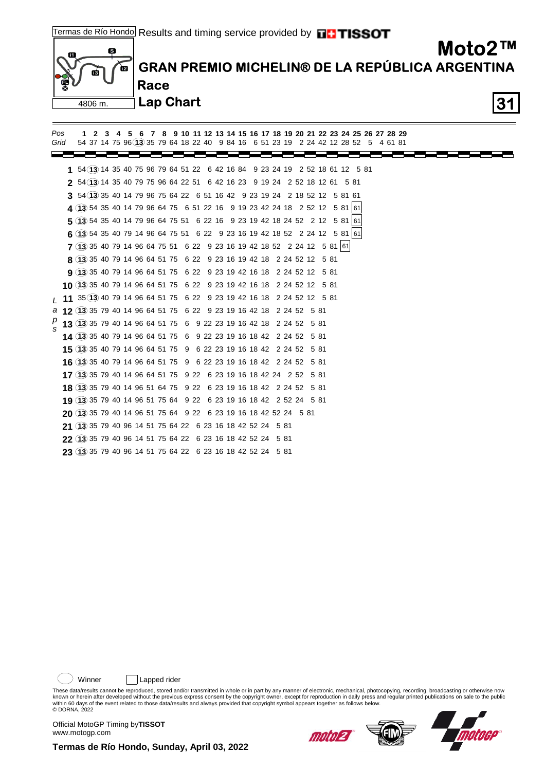

 **9 13** 35 40 79 14 96 64 51 75 6 22 9 23 19 42 16 18 2 24 52 12 5 81  **10 13** 35 40 79 14 96 64 51 75 6 22 9 23 19 42 16 18 2 24 52 12 5 81  **11** 35 **13** 40 79 14 96 64 51 75 6 22 9 23 19 42 16 18 2 24 52 12 5 81 *L*  **12 13** 35 79 40 14 96 64 51 75 6 22 9 23 19 16 42 18 2 24 52 5 81 *a*  **13 13** 35 79 40 14 96 64 51 75 6 9 22 23 19 16 42 18 2 24 52 5 81 *p*  **14 13** 35 40 79 14 96 64 51 75 6 9 22 23 19 16 18 42 2 24 52 5 81  **15 13** 35 40 79 14 96 64 51 75 9 6 22 23 19 16 18 42 2 24 52 5 81  **16 13** 35 40 79 14 96 64 51 75 9 6 22 23 19 16 18 42 2 24 52 5 81  **17 13** 35 79 40 14 96 64 51 75 9 22 6 23 19 16 18 42 24 2 52 5 81  **18 13** 35 79 40 14 96 51 64 75 9 22 6 23 19 16 18 42 2 24 52 5 81  **19 13** 35 79 40 14 96 51 75 64 9 22 6 23 19 16 18 42 2 52 24 5 81  **20 13** 35 79 40 14 96 51 75 64 9 22 6 23 19 16 18 42 52 24 5 81 **21** (13) 35 79 40 96 14 51 75 64 22 6 23 16 18 42 52 24 5 81  **22 13** 35 79 40 96 14 51 75 64 22 6 23 16 18 42 52 24 5 81  **23 13** 35 79 40 96 14 51 75 64 22 6 23 16 18 42 52 24 5 81 *s*

Winner | Lapped rider

These data/results cannot be reproduced, stored and/or transmitted in whole or in part by any manner of electronic, mechanical, photocopying, recording, broadcasting or otherwise now<br>known or herein after developed without within 60 days of the event related to those data/results and always provided that copyright symbol appears together as follows below. © DORNA, 2022

Official MotoGP Timing by **TISSOT**www.motogp.com



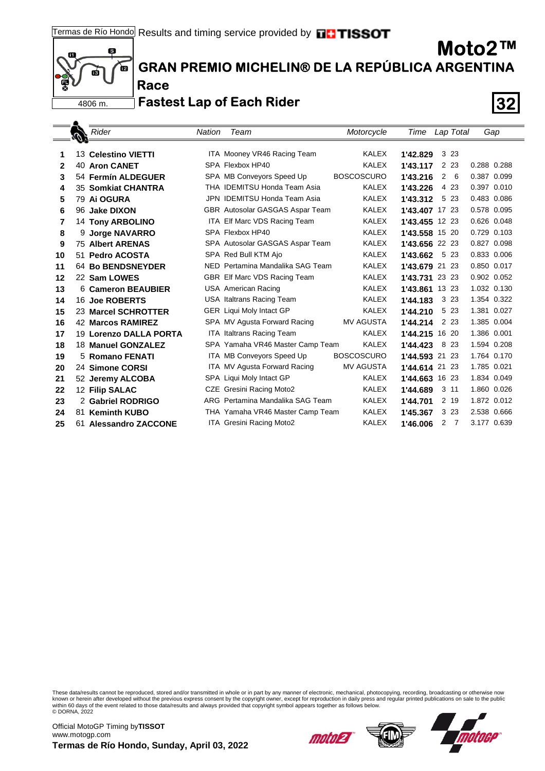

**Race**

**GRAN PREMIO MICHELIN® DE LA REPÚBLICA ARGENTINA**

### **Fastest Lap of Each Rider 32**

|    | Rider                    | Nation | Team                             | Motorcycle        | Time           | Lap Total             | Gap         |
|----|--------------------------|--------|----------------------------------|-------------------|----------------|-----------------------|-------------|
|    |                          |        |                                  |                   |                |                       |             |
| 1  | 13 Celestino VIETTI      |        | ITA Mooney VR46 Racing Team      | KALEX             | 1'42.829       | 3 2 3                 |             |
| 2  | 40 Aron CANET            |        | SPA Flexbox HP40                 | <b>KALEX</b>      | 1'43.117       | 2 2 3                 | 0.288 0.288 |
| 3  | 54 Fermín ALDEGUER       |        | SPA MB Conveyors Speed Up        | <b>BOSCOSCURO</b> | 1'43.216       | $\overline{2}$<br>- 6 | 0.387 0.099 |
| 4  | 35 Somkiat CHANTRA       |        | THA IDEMITSU Honda Team Asia     | <b>KALEX</b>      | 1'43.226       | 4 2 3                 | 0.397 0.010 |
| 5  | 79 Ai OGURA              |        | JPN IDEMITSU Honda Team Asia     | <b>KALEX</b>      | 1'43.312       | 5 23                  | 0.483 0.086 |
| 6  | 96 Jake DIXON            |        | GBR Autosolar GASGAS Aspar Team  | <b>KALEX</b>      | 1'43.407 17 23 |                       | 0.578 0.095 |
| 7  | <b>14 Tony ARBOLINO</b>  |        | ITA Elf Marc VDS Racing Team     | <b>KALEX</b>      | 1'43.455       | 12 23                 | 0.626 0.048 |
| 8  | 9 Jorge NAVARRO          |        | SPA Flexbox HP40                 | <b>KALEX</b>      | 1'43.558 15 20 |                       | 0.729 0.103 |
| 9  | <b>75 Albert ARENAS</b>  |        | SPA Autosolar GASGAS Aspar Team  | <b>KALEX</b>      | 1'43.656 22 23 |                       | 0.827 0.098 |
| 10 | 51 Pedro ACOSTA          |        | SPA Red Bull KTM Ajo             | <b>KALEX</b>      | 1'43.662       | 5 23                  | 0.833 0.006 |
| 11 | <b>64 Bo BENDSNEYDER</b> |        | NED Pertamina Mandalika SAG Team | <b>KALEX</b>      | 1'43.679       | 21 23                 | 0.850 0.017 |
| 12 | 22 Sam LOWES             |        | GBR Elf Marc VDS Racing Team     | <b>KALEX</b>      | 1'43.731       | 23 23                 | 0.902 0.052 |
| 13 | 6 Cameron BEAUBIER       |        | <b>USA American Racing</b>       | <b>KALEX</b>      | 1'43.861       | 13 23                 | 1.032 0.130 |
| 14 | 16 Joe ROBERTS           |        | USA Italtrans Racing Team        | <b>KALEX</b>      | 1'44.183       | 3 2 3                 | 1.354 0.322 |
| 15 | 23 Marcel SCHROTTER      |        | <b>GER</b> Liqui Moly Intact GP  | <b>KALEX</b>      | 1'44.210       | 5 23                  | 1.381 0.027 |
| 16 | <b>42 Marcos RAMIREZ</b> |        | SPA MV Agusta Forward Racing     | <b>MV AGUSTA</b>  | 1'44.214       | 2 2 3                 | 1.385 0.004 |
| 17 | 19 Lorenzo DALLA PORTA   |        | <b>ITA Italtrans Racing Team</b> | <b>KALEX</b>      | 1'44.215       | 16 20                 | 1.386 0.001 |
| 18 | 18 Manuel GONZALEZ       |        | SPA Yamaha VR46 Master Camp Team | <b>KALEX</b>      | 1'44.423       | 8<br>-23              | 1.594 0.208 |
| 19 | 5 Romano FENATI          |        | ITA MB Conveyors Speed Up        | <b>BOSCOSCURO</b> | 1'44.593       | 21 23                 | 1.764 0.170 |
| 20 | 24 Simone CORSI          |        | ITA MV Agusta Forward Racing     | <b>MV AGUSTA</b>  | 1'44.614 21 23 |                       | 1.785 0.021 |
| 21 | 52 Jeremy ALCOBA         |        | SPA Liqui Moly Intact GP         | <b>KALEX</b>      | 1'44.663       | 16 23                 | 1.834 0.049 |
| 22 | 12 Filip SALAC           |        | CZE Gresini Racing Moto2         | <b>KALEX</b>      | 1'44.689       | $3 \; 11$             | 1.860 0.026 |
| 23 | 2 Gabriel RODRIGO        |        | ARG Pertamina Mandalika SAG Team | <b>KALEX</b>      | 1'44.701       | 2 19                  | 1.872 0.012 |
| 24 | 81 Keminth KUBO          |        | THA Yamaha VR46 Master Camp Team | <b>KALEX</b>      | 1'45.367       | 3 2 3                 | 2.538 0.666 |
| 25 | 61 Alessandro ZACCONE    |        | ITA Gresini Racing Moto2         | <b>KALEX</b>      | 1'46.006       | $\overline{2}$<br>- 7 | 3.177 0.639 |
|    |                          |        |                                  |                   |                |                       |             |

These data/results cannot be reproduced, stored and/or transmitted in whole or in part by any manner of electronic, mechanical, photocopying, recording, broadcasting or otherwise now<br>known or herein after developed without © DORNA, 2022







**Moto2™**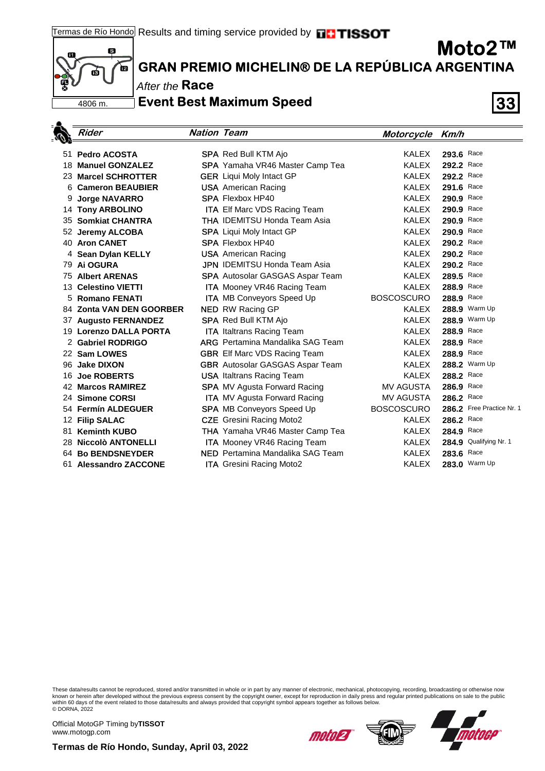

### **GRAN PREMIO MICHELIN® DE LA REPÚBLICA ARGENTINA**

After the **Race** 

**Event Best Maximum Speed 33**

|    | <b>Rider</b>             | <b>Nation Team</b> |                                         | Motorcycle Km/h   |                           |
|----|--------------------------|--------------------|-----------------------------------------|-------------------|---------------------------|
|    | 51 Pedro ACOSTA          |                    | <b>SPA</b> Red Bull KTM Ajo             | <b>KALEX</b>      | 293.6 Race                |
|    | 18 Manuel GONZALEZ       |                    | SPA Yamaha VR46 Master Camp Tea         | <b>KALEX</b>      | 292.2 Race                |
|    | 23 Marcel SCHROTTER      |                    | <b>GER</b> Liqui Moly Intact GP         | KALEX             | 292.2 Race                |
| 6  | <b>Cameron BEAUBIER</b>  |                    | <b>USA</b> American Racing              | KALEX             | 291.6 Race                |
| 9  | <b>Jorge NAVARRO</b>     |                    | <b>SPA Flexbox HP40</b>                 | <b>KALEX</b>      | 290.9 Race                |
|    | 14 Tony ARBOLINO         |                    | <b>ITA Elf Marc VDS Racing Team</b>     | <b>KALEX</b>      | 290.9 Race                |
|    | 35 Somkiat CHANTRA       |                    | <b>THA IDEMITSU Honda Team Asia</b>     | <b>KALEX</b>      | 290.9 Race                |
|    | 52 Jeremy ALCOBA         |                    | <b>SPA</b> Liqui Moly Intact GP         | <b>KALEX</b>      | 290.9 Race                |
|    | 40 Aron CANET            |                    | <b>SPA Flexbox HP40</b>                 | KALEX             | 290.2 Race                |
|    | 4 Sean Dylan KELLY       |                    | <b>USA</b> American Racing              | <b>KALEX</b>      | 290.2 Race                |
|    | 79 Ai OGURA              |                    | <b>JPN</b> IDEMITSU Honda Team Asia     | <b>KALEX</b>      | 290.2 Race                |
|    | <b>75 Albert ARENAS</b>  |                    | <b>SPA</b> Autosolar GASGAS Aspar Team  | <b>KALEX</b>      | 289.5 Race                |
|    | 13 Celestino VIETTI      |                    | <b>ITA</b> Mooney VR46 Racing Team      | KALEX             | 288.9 Race                |
|    | 5 Romano FENATI          |                    | <b>ITA</b> MB Conveyors Speed Up        | <b>BOSCOSCURO</b> | 288.9 Race                |
|    | 84 Zonta VAN DEN GOORBER |                    | <b>NED</b> RW Racing GP                 | <b>KALEX</b>      | 288.9 Warm Up             |
|    | 37 Augusto FERNANDEZ     |                    | <b>SPA</b> Red Bull KTM Ajo             | <b>KALEX</b>      | 288.9 Warm Up             |
|    | 19 Lorenzo DALLA PORTA   |                    | <b>ITA</b> Italtrans Racing Team        | KALEX             | 288.9 Race                |
|    | 2 Gabriel RODRIGO        |                    | <b>ARG</b> Pertamina Mandalika SAG Team | KALEX             | 288.9 Race                |
|    | 22 Sam LOWES             |                    | <b>GBR</b> Elf Marc VDS Racing Team     | KALEX             | 288.9 Race                |
|    | 96 Jake DIXON            |                    | <b>GBR</b> Autosolar GASGAS Aspar Team  | <b>KALEX</b>      | 288.2 Warm Up             |
| 16 | <b>Joe ROBERTS</b>       |                    | <b>USA</b> Italtrans Racing Team        | <b>KALEX</b>      | 288.2 Race                |
|    | 42 Marcos RAMIREZ        |                    | <b>SPA</b> MV Agusta Forward Racing     | <b>MV AGUSTA</b>  | 286.9 Race                |
|    | 24 Simone CORSI          |                    | ITA MV Agusta Forward Racing            | <b>MV AGUSTA</b>  | 286.2 Race                |
|    | 54 Fermín ALDEGUER       |                    | <b>SPA MB Conveyors Speed Up</b>        | <b>BOSCOSCURO</b> | 286.2 Free Practice Nr. 1 |
|    | 12 Filip SALAC           |                    | <b>CZE</b> Gresini Racing Moto2         | KALEX             | 286.2 Race                |
| 81 | <b>Keminth KUBO</b>      |                    | <b>THA</b> Yamaha VR46 Master Camp Tea  | <b>KALEX</b>      | 284.9 Race                |
|    | 28 Niccolò ANTONELLI     |                    | <b>ITA</b> Mooney VR46 Racing Team      | <b>KALEX</b>      | 284.9 Qualifying Nr. 1    |
|    | 64 Bo BENDSNEYDER        |                    | <b>NED</b> Pertamina Mandalika SAG Team | <b>KALEX</b>      | 283.6 Race                |
|    | 61 Alessandro ZACCONE    |                    | <b>ITA</b> Gresini Racing Moto2         | <b>KALEX</b>      | 283.0 Warm Up             |

These data/results cannot be reproduced, stored and/or transmitted in whole or in part by any manner of electronic, mechanical, photocopying, recording, broadcasting or otherwise now<br>known or herein after developed without © DORNA, 2022

Official MotoGP Timing by **TISSOT**www.motogp.com

motola



**Moto2™**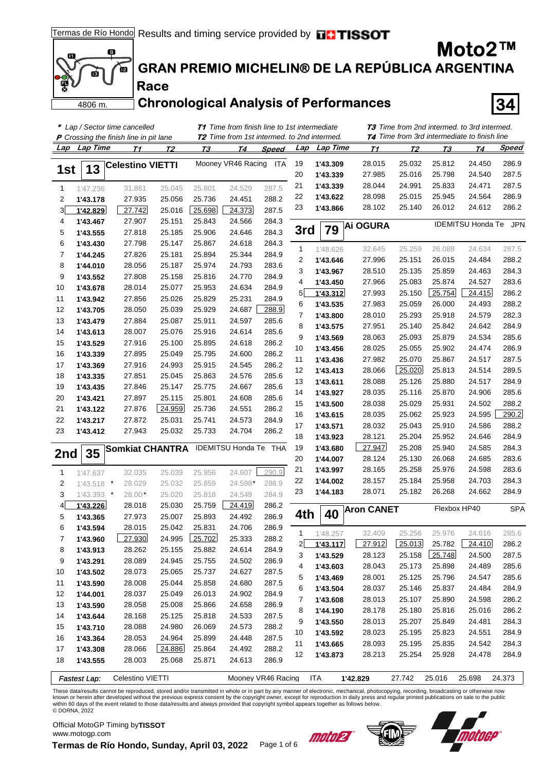

**Race**

**GRAN PREMIO MICHELIN® DE LA REPÚBLICA ARGENTINA**

### **Chronological Analysis of Performances 34**

|          |              | * Lap / Sector time cancelled                 |                  |                  | <b>T1</b> Time from finish line to 1st intermediate |                    |                |                      | <b>T3</b> Time from 2nd intermed. to 3rd intermed.<br><b>T4</b> Time from 3rd intermediate to finish line |                  |                  |                          |                |  |
|----------|--------------|-----------------------------------------------|------------------|------------------|-----------------------------------------------------|--------------------|----------------|----------------------|-----------------------------------------------------------------------------------------------------------|------------------|------------------|--------------------------|----------------|--|
|          |              | <b>P</b> Crossing the finish line in pit lane |                  |                  | <b>T2</b> Time from 1st intermed. to 2nd intermed.  |                    |                |                      |                                                                                                           |                  |                  |                          |                |  |
| Lap      | Lap Time     | <u>71</u>                                     | <u>T2</u>        | <u>ТЗ</u>        | Т4                                                  | Speed              | Lap            | Lap Time             | <u>71</u>                                                                                                 | T2               | <u>ТЗ</u>        | T4                       | <u>Speed</u>   |  |
|          | 13           | <b>Celestino VIETTI</b>                       |                  |                  | Mooney VR46 Racing                                  | <b>ITA</b>         | 19             | 1'43.309             | 28.015                                                                                                    | 25.032           | 25.812           | 24.450                   | 286.9          |  |
| 1st      |              |                                               |                  |                  |                                                     |                    | 20             | 1'43.339             | 27.985                                                                                                    | 25.016           | 25.798           | 24.540                   | 287.5          |  |
| 1        | 1'47.236     | 31.861                                        | 25.045           | 25.801           | 24.529                                              | 287.5              | 21             | 1'43.339             | 28.044                                                                                                    | 24.991           | 25.833           | 24.471                   | 287.5          |  |
| 2        | 1'43.178     | 27.935                                        | 25.056           | 25.736           | 24.451                                              | 288.2              | 22             | 1'43.622             | 28.098                                                                                                    | 25.015           | 25.945           | 24.564                   | 286.9          |  |
| 3        | 1'42.829     | 27.742                                        | 25.016           | 25.698           | 24.373                                              | 287.5              | 23             | 1'43.866             | 28.102                                                                                                    | 25.140           | 26.012           | 24.612                   | 286.2          |  |
| 4        | 1'43.467     | 27.907                                        | 25.151           | 25.843           | 24.566                                              | 284.3              |                |                      |                                                                                                           |                  |                  | <b>IDEMITSU Honda Te</b> | <b>JPN</b>     |  |
| 5        | 1'43.555     | 27.818                                        | 25.185           | 25.906           | 24.646                                              | 284.3              | 3rd            | 79                   | <b>Ai OGURA</b>                                                                                           |                  |                  |                          |                |  |
| 6        | 1'43.430     | 27.798                                        | 25.147           | 25.867           | 24.618                                              | 284.3              |                |                      |                                                                                                           |                  |                  |                          |                |  |
| 7        | 1'44.245     | 27.826                                        | 25.181           | 25.894           | 25.344                                              | 284.9              | 1              | 1'48.626             | 32.645                                                                                                    | 25.259           | 26.088           | 24.634                   | 287.5          |  |
| 8        | 1'44.010     | 28.056                                        | 25.187           | 25.974           | 24.793                                              | 283.6              | 2              | 1'43.646             | 27.996                                                                                                    | 25.151           | 26.015           | 24.484                   | 288.2          |  |
| 9        | 1'43.552     | 27.808                                        | 25.158           | 25.816           | 24.770                                              | 284.9              | 3              | 1'43.967             | 28.510                                                                                                    | 25.135           | 25.859           | 24.463                   | 284.3          |  |
| 10       | 1'43.678     | 28.014                                        | 25.077           | 25.953           | 24.634                                              | 284.9              | 4              | 1'43.450             | 27.966                                                                                                    | 25.083           | 25.874           | 24.527                   | 283.6          |  |
| 11       | 1'43.942     | 27.856                                        | 25.026           | 25.829           | 25.231                                              | 284.9              | 5 <sup>1</sup> | 1'43.312             | 27.993                                                                                                    | 25.150           | 25.754           | 24.415                   | 286.2          |  |
| 12       | 1'43.705     | 28.050                                        | 25.039           | 25.929           | 24.687                                              | 288.9              | 6              | 1'43.535             | 27.983                                                                                                    | 25.059           | 26.000           | 24.493                   | 288.2          |  |
| 13       | 1'43.479     | 27.884                                        | 25.087           | 25.911           | 24.597                                              | 285.6              | 7              | 1'43.800             | 28.010                                                                                                    | 25.293           | 25.918           | 24.579                   | 282.3          |  |
| 14       | 1'43.613     | 28.007                                        | 25.076           | 25.916           | 24.614                                              | 285.6              | 8              | 1'43.575             | 27.951                                                                                                    | 25.140           | 25.842           | 24.642                   | 284.9          |  |
| 15       | 1'43.529     | 27.916                                        | 25.100           | 25.895           | 24.618                                              | 286.2              | 9              | 1'43.569             | 28.063                                                                                                    | 25.093           | 25.879           | 24.534                   | 285.6          |  |
| 16       | 1'43.339     | 27.895                                        | 25.049           | 25.795           | 24.600                                              | 286.2              | 10             | 1'43.456             | 28.025                                                                                                    | 25.055           | 25.902           | 24.474                   | 286.9          |  |
| 17       | 1'43.369     | 27.916                                        | 24.993           | 25.915           | 24.545                                              | 286.2              | 11             | 1'43.436             | 27.982                                                                                                    | 25.070           | 25.867           | 24.517                   | 287.5          |  |
| 18       | 1'43.335     | 27.851                                        | 25.045           | 25.863           | 24.576                                              | 285.6              | 12             | 1'43.413             | 28.066                                                                                                    | 25.020           | 25.813           | 24.514                   | 289.5          |  |
| 19       | 1'43.435     | 27.846                                        | 25.147           | 25.775           | 24.667                                              | 285.6              | 13             | 1'43.611             | 28.088                                                                                                    | 25.126           | 25.880           | 24.517                   | 284.9          |  |
| 20       | 1'43.421     | 27.897                                        | 25.115           | 25.801           | 24.608                                              | 285.6              | 14             | 1'43.927             | 28.035                                                                                                    | 25.116           | 25.870           | 24.906                   | 285.6          |  |
| 21       | 1'43.122     | 27.876                                        | 24.959           | 25.736           | 24.551                                              | 286.2              | 15             | 1'43.500             | 28.038                                                                                                    | 25.029           | 25.931           | 24.502                   | 288.2          |  |
| 22       | 1'43.217     | 27.872                                        | 25.031           | 25.741           | 24.573                                              | 284.9              | 16             | 1'43.615             | 28.035<br>28.032                                                                                          | 25.062<br>25.043 | 25.923<br>25.910 | 24.595<br>24.586         | 290.2<br>288.2 |  |
| 23       | 1'43.412     | 27.943                                        | 25.032           | 25.733           | 24.704                                              | 286.2              | 17<br>18       | 1'43.571             | 28.121                                                                                                    | 25.204           | 25.952           | 24.646                   | 284.9          |  |
|          |              |                                               |                  |                  | <b>IDEMITSU Honda Te</b>                            |                    |                | 1'43.923             | 27.947                                                                                                    | 25.208           | 25.940           |                          | 284.3          |  |
| 2nd      | 35           | <b>Somkiat CHANTRA</b>                        |                  |                  |                                                     | THA                | 19<br>20       | 1'43.680             |                                                                                                           | 25.130           | 26.068           | 24.585                   | 283.6          |  |
|          |              |                                               |                  |                  |                                                     |                    | 21             | 1'44.007<br>1'43.997 | 28.124<br>28.165                                                                                          | 25.258           | 25.976           | 24.685<br>24.598         | 283.6          |  |
| 1        | 1'47.637     | 32.035                                        | 25.039           | 25.956           | 24.607                                              | 290.9              | 22             | 1'44.002             | 28.157                                                                                                    | 25.184           | 25.958           | 24.703                   | 284.3          |  |
| 2        | $1'43.518$ * | 28.029                                        | 25.032           | 25.859           | 24.598*                                             | 288.9              | 23             | 1'44.183             | 28.071                                                                                                    | 25.182           | 26.268           | 24.662                   | 284.9          |  |
| 3        | $1'43.393$ * | 28.00                                         | 25.020           | 25.818           | 24.549                                              | 284.9              |                |                      |                                                                                                           |                  |                  |                          |                |  |
| 4        | 1'43.226     | 28.018                                        | 25.030           | 25.759           | 24.419                                              | 286.2              | 4th            | 40                   | <b>Aron CANET</b>                                                                                         |                  |                  | Flexbox HP40             | <b>SPA</b>     |  |
| 5        | 1'43.365     | 27.973                                        | 25.007           | 25.893           | 24.492                                              | 286.9              |                |                      |                                                                                                           |                  |                  |                          |                |  |
| 6        | 1'43.594     | 28.015                                        | 25.042           | 25.831           | 24.706                                              | 286.9              | 1              | 1'48.257             | 32.409                                                                                                    | 25.256           | 25.976           | 24.616                   | 285.6          |  |
| 7        | 1'43.960     | 27.930                                        | 24.995           | 25.702           | 25.333                                              | 288.2              | 2              | 1'43.117             | 27.912                                                                                                    | 25.013           | 25.782           | 24.410                   | 286.2          |  |
| 8        | 1'43.913     | 28.262                                        | 25.155           | 25.882           | 24.614                                              | 284.9              | 3              | 1'43.529             | 28.123                                                                                                    | 25.158           | 25.748           | 24.500                   | 287.5          |  |
| 9        | 1'43.291     | 28.089                                        | 24.945           | 25.755           | 24.502                                              | 286.9              | 4              | 1'43.603             | 28.043                                                                                                    | 25.173           | 25.898           | 24.489                   | 285.6          |  |
| 10       | 1'43.502     | 28.073                                        | 25.065           | 25.737           | 24.627                                              | 287.5              | 5              | 1'43.469             | 28.001                                                                                                    | 25.125           | 25.796           | 24.547                   | 285.6          |  |
| 11       | 1'43.590     | 28.008                                        | 25.044           | 25.858           | 24.680                                              | 287.5              | 6              | 1'43.504             | 28.037                                                                                                    | 25.146           | 25.837           | 24.484                   | 284.9          |  |
| 12       | 1'44.001     | 28.037                                        | 25.049           | 26.013           | 24.902                                              | 284.9              | 7              | 1'43.608             | 28.013                                                                                                    | 25.107           | 25.890           | 24.598                   | 286.2          |  |
| 13       | 1'43.590     | 28.058                                        | 25.008           | 25.866           | 24.658                                              | 286.9              | 8              | 1'44.190             | 28.178                                                                                                    | 25.180           | 25.816           | 25.016                   | 286.2          |  |
| 14       | 1'43.644     | 28.168                                        | 25.125           | 25.818           | 24.533                                              | 287.5              | 9              | 1'43.550             | 28.013                                                                                                    | 25.207           | 25.849           | 24.481                   | 284.3          |  |
| 15       | 1'43.710     | 28.088                                        | 24.980           | 26.069           | 24.573                                              | 288.2              | 10             | 1'43.592             | 28.023                                                                                                    | 25.195           | 25.823           | 24.551                   | 284.9          |  |
| 16       | 1'43.364     | 28.053                                        | 24.964<br>24.886 | 25.899           | 24.448                                              | 287.5<br>288.2     | 11             | 1'43.665             | 28.093                                                                                                    | 25.195           | 25.835           | 24.542                   | 284.3          |  |
| 17<br>18 | 1'43.308     | 28.066<br>28.003                              | 25.068           | 25.864<br>25.871 | 24.492<br>24.613                                    | 286.9              | 12             | 1'43.873             | 28.213                                                                                                    | 25.254           | 25.928           | 24.478                   | 284.9          |  |
|          | 1'43.555     |                                               |                  |                  |                                                     |                    |                |                      |                                                                                                           |                  |                  |                          |                |  |
|          | Fastest Lap: | Celestino VIETTI                              |                  |                  |                                                     | Mooney VR46 Racing |                | <b>ITA</b>           | 1'42.829                                                                                                  | 27.742           | 25.016           | 25.698                   | 24.373         |  |

These data/results cannot be reproduced, stored and/or transmitted in whole or in part by any manner of electronic, mechanical, photocopying, recording, broadcasting or otherwise now known or herein after developed without the previous express consent by the copyright owner, except for reproduction in daily press and regular printed publications on sale to the public<br>within 60 days of the event related © DORNA, 2022

Official MotoGP Timing by **TISSOT**www.motogp.com

 $\mathbf{I}$ 

**Termas de Río Hondo, Sunday, April 03, 2022** Page 1 of 6





**Moto2™**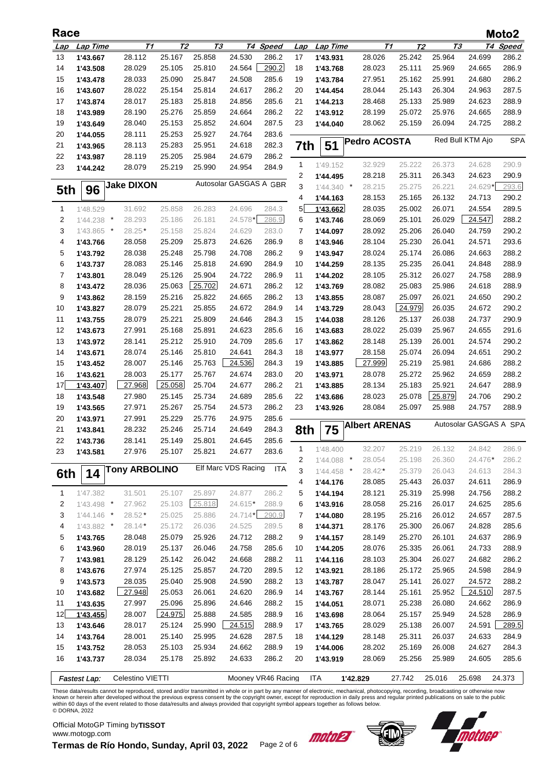| Race       |                     |                      |                  |                  |                        |                    |              |              |                      |                      |        |                        | Moto2                |
|------------|---------------------|----------------------|------------------|------------------|------------------------|--------------------|--------------|--------------|----------------------|----------------------|--------|------------------------|----------------------|
| <u>Lap</u> | Lap Time            | Т1                   | T2               | TЗ               |                        | T4 Speed           | Lap          | Lap Time     |                      | T1<br>T <sub>2</sub> |        | TЗ                     | T <sub>4</sub> Speed |
| 13         | 1'43.667            | 28.112               | 25.167           | 25.858           | 24.530                 | 286.2              | 17           | 1'43.931     | 28.026               | 25.242               | 25.964 | 24.699                 | 286.2                |
| 14         | 1'43.508            | 28.029               | 25.105           | 25.810           | 24.564                 | 290.2              | 18           | 1'43.768     | 28.023               | 25.111               | 25.969 | 24.665                 | 286.9                |
| 15         | 1'43.478            | 28.033               | 25.090           | 25.847           | 24.508                 | 285.6              | 19           | 1'43.784     | 27.951               | 25.162               | 25.991 | 24.680                 | 286.2                |
| 16         | 1'43.607            | 28.022               | 25.154           | 25.814           | 24.617                 | 286.2              | 20           | 1'44.454     | 28.044               | 25.143               | 26.304 | 24.963                 | 287.5                |
| 17         | 1'43.874            | 28.017               | 25.183           | 25.818           | 24.856                 | 285.6              | 21           | 1'44.213     | 28.468               | 25.133               | 25.989 | 24.623                 | 288.9                |
| 18         | 1'43.989            | 28.190               | 25.276           | 25.859           | 24.664                 | 286.2              | 22           | 1'43.912     | 28.199               | 25.072               | 25.976 | 24.665                 | 288.9                |
| 19         | 1'43.649            | 28.040               | 25.153           | 25.852           | 24.604                 | 287.5              | 23           | 1'44.040     | 28.062               | 25.159               | 26.094 | 24.725                 | 288.2                |
| 20         | 1'44.055            | 28.111               | 25.253           | 25.927           | 24.764                 | 283.6              |              |              |                      |                      |        |                        |                      |
| 21         | 1'43.965            | 28.113               | 25.283           | 25.951           | 24.618                 | 282.3              | 7th          | 51           | <b>Pedro ACOSTA</b>  |                      |        | Red Bull KTM Ajo       | <b>SPA</b>           |
| 22         | 1'43.987            | 28.119               | 25.205           | 25.984           | 24.679                 | 286.2              |              |              |                      |                      |        |                        |                      |
| 23         | 1'44.242            | 28.079               | 25.219           | 25.990           | 24.954                 | 284.9              | $\mathbf{1}$ | 1'49.152     | 32.929               | 25.222               | 26.373 | 24.628                 | 290.9                |
|            |                     |                      |                  |                  |                        |                    | 2            | 1'44.495     | 28.218               | 25.311               | 26.343 | 24.623                 | 290.9                |
| 5th        | 96                  | <b>Jake DIXON</b>    |                  |                  | Autosolar GASGAS A GBR |                    | 3            | $1'44.340$ * | 28.215               | 25.275               | 26.221 | 24.629*                | 293.6                |
|            |                     |                      |                  |                  |                        |                    | 4            | 1'44.163     | 28.153               | 25.165               | 26.132 | 24.713                 | 290.2                |
| 1          | 1'48.529            | 31.692               | 25.858           | 26.283           | 24.696                 | 284.3              | 5            | 1'43.662     | 28.035               | 25.002               | 26.071 | 24.554                 | 289.5                |
| 2          | 1'44.238<br>$\star$ | 28.293               | 25.186           | 26.181           | 24.578*                | 286.9              | 6            | 1'43.746     | 28.069               | 25.101               | 26.029 | 24.547                 | 288.2                |
| 3          | 1'43.865<br>$\star$ | $28.25*$             | 25.158           | 25.824           | 24.629                 | 283.0              | 7            | 1'44.097     | 28.092               | 25.206               | 26.040 | 24.759                 | 290.2                |
| 4          | 1'43.766            | 28.058               | 25.209           | 25.873           | 24.626                 | 286.9              | 8            | 1'43.946     | 28.104               | 25.230               | 26.041 | 24.571                 | 293.6                |
| 5          | 1'43.792            | 28.038               | 25.248           | 25.798           | 24.708                 | 286.2              | 9            | 1'43.947     | 28.024               | 25.174               | 26.086 | 24.663                 | 288.2                |
| 6          | 1'43.737            | 28.083               | 25.146           | 25.818           | 24.690                 | 284.9              | 10           | 1'44.259     | 28.135               | 25.235               | 26.041 | 24.848                 | 288.9                |
| 7          | 1'43.801            | 28.049               | 25.126           | 25.904           | 24.722                 | 286.9              | 11           | 1'44.202     | 28.105               | 25.312               | 26.027 | 24.758                 | 288.9                |
| 8          | 1'43.472            | 28.036               | 25.063           | 25.702           | 24.671                 | 286.2              | 12           | 1'43.769     | 28.082               | 25.083               | 25.986 | 24.618                 | 288.9                |
| 9          | 1'43.862            | 28.159               | 25.216           | 25.822           | 24.665                 | 286.2              | 13           | 1'43.855     | 28.087               | 25.097               | 26.021 | 24.650                 | 290.2                |
| 10         | 1'43.827            | 28.079               | 25.221           | 25.855           | 24.672                 | 284.9              | 14           | 1'43.729     | 28.043               | 24.979               | 26.035 | 24.672                 | 290.2                |
| 11         | 1'43.755            | 28.079               | 25.221           | 25.809           | 24.646                 | 284.3              | 15           | 1'44.038     | 28.126               | 25.137               | 26.038 | 24.737                 | 290.9                |
| 12         | 1'43.673            | 27.991               | 25.168           | 25.891           | 24.623                 | 285.6              | 16           | 1'43.683     | 28.022               | 25.039               | 25.967 | 24.655                 | 291.6                |
| 13         | 1'43.972            | 28.141               | 25.212           | 25.910           | 24.709                 | 285.6              | 17           | 1'43.862     | 28.148               | 25.139               | 26.001 | 24.574                 | 290.2                |
| 14         |                     | 28.074               | 25.146           | 25.810           | 24.641                 | 284.3              | 18           |              | 28.158               | 25.074               | 26.094 | 24.651                 | 290.2                |
|            | 1'43.671            |                      |                  |                  |                        |                    |              | 1'43.977     |                      |                      |        |                        |                      |
| 15         | 1'43.452            | 28.007               | 25.146           | 25.763           | 24.536                 | 284.3              | 19           | 1'43.885     | 27.999               | 25.219               | 25.981 | 24.686                 | 288.2                |
| 16         | 1'43.621            | 28.003               | 25.177           | 25.767           | 24.674                 | 283.0              | 20           | 1'43.971     | 28.078               | 25.272               | 25.962 | 24.659                 | 288.2                |
| 17         | 1'43.407            | 27.968               | 25.058           | 25.704           | 24.677                 | 286.2              | 21           | 1'43.885     | 28.134               | 25.183               | 25.921 | 24.647                 | 288.9                |
| 18         | 1'43.548            | 27.980               | 25.145           | 25.734           | 24.689                 | 285.6              | 22           | 1'43.686     | 28.023               | 25.078               | 25.879 | 24.706                 | 290.2                |
| 19         | 1'43.565            | 27.971               | 25.267           | 25.754           | 24.573                 | 286.2              | 23           | 1'43.926     | 28.084               | 25.097               | 25.988 | 24.757                 | 288.9                |
| 20         | 1'43.971            | 27.991               | 25.229           | 25.776           | 24.975                 | 285.6              |              |              | <b>Albert ARENAS</b> |                      |        | Autosolar GASGAS A SPA |                      |
| 21         | 1'43.841            | 28.232               | 25.246           | 25.714           | 24.649                 | 284.3              | 8th          | 75           |                      |                      |        |                        |                      |
| 22         | 1'43.736            | 28.141               | 25.149           | 25.801           | 24.645                 | 285.6              | 1            | 1'48.400     | 32.207               | 25.219               | 26.132 | 24.842                 | 286.9                |
| 23         | 1'43.581            | 27.976               | 25.107           | 25.821           | 24.677                 | 283.6              | 2            | 1'44.088 *   | 28.054               | 25.198               | 26.360 | 24.476*                | 286.2                |
|            |                     | <b>Tony ARBOLINO</b> |                  |                  | Elf Marc VDS Racing    | <b>ITA</b>         | 3            | 1'44.458 *   | 28.42*               | 25.379               | 26.043 | 24.613                 | 284.3                |
| 6th        | 14                  |                      |                  |                  |                        |                    | 4            | 1'44.176     | 28.085               | 25.443               | 26.037 | 24.611                 | 286.9                |
|            | 1'47.382            |                      |                  |                  | 24.877                 | 286.2              |              |              |                      |                      | 25.998 |                        |                      |
| 1          |                     | 31.501<br>27.962     | 25.107<br>25.103 | 25.897<br>25.818 | 24.615*                | 288.9              | 5            | 1'44.194     | 28.121               | 25.319               |        | 24.756                 | 288.2                |
| 2          | $1'43.498$ *        |                      |                  |                  | 24.714*                |                    | 6            | 1'43.916     | 28.058               | 25.216               | 26.017 | 24.625                 | 285.6                |
| 3          | $1'44.146$ *        | 28.52*               | 25.025           | 25.886           |                        | 290.9              | 7            | 1'44.080     | 28.195               | 25.216               | 26.012 | 24.657                 | 287.5                |
| 4          | 1'43.882 *          | 28.14                | 25.172           | 26.036           | 24.525                 | 289.5              | 8            | 1'44.371     | 28.176               | 25.300               | 26.067 | 24.828                 | 285.6                |
| 5          | 1'43.765            | 28.048               | 25.079           | 25.926           | 24.712                 | 288.2              | 9            | 1'44.157     | 28.149               | 25.270               | 26.101 | 24.637                 | 286.9                |
| 6          | 1'43.960            | 28.019               | 25.137           | 26.046           | 24.758                 | 285.6              | 10           | 1'44.205     | 28.076               | 25.335               | 26.061 | 24.733                 | 288.9                |
| 7          | 1'43.981            | 28.129               | 25.142           | 26.042           | 24.668                 | 288.2              | 11           | 1'44.116     | 28.103               | 25.304               | 26.027 | 24.682                 | 286.2                |
| 8          | 1'43.676            | 27.974               | 25.125           | 25.857           | 24.720                 | 289.5              | 12           | 1'43.921     | 28.186               | 25.172               | 25.965 | 24.598                 | 284.9                |
| 9          | 1'43.573            | 28.035               | 25.040           | 25.908           | 24.590                 | 288.2              | 13           | 1'43.787     | 28.047               | 25.141               | 26.027 | 24.572                 | 288.2                |
| 10         | 1'43.682            | 27.948               | 25.053           | 26.061           | 24.620                 | 286.9              | 14           | 1'43.767     | 28.144               | 25.161               | 25.952 | 24.510                 | 287.5                |
| 11         | 1'43.635            | 27.997               | 25.096           | 25.896           | 24.646                 | 288.2              | 15           | 1'44.051     | 28.071               | 25.238               | 26.080 | 24.662                 | 286.9                |
| 12         | 1'43.455            | 28.007               | 24.975           | 25.888           | 24.585                 | 288.9              | 16           | 1'43.698     | 28.064               | 25.157               | 25.949 | 24.528                 | 286.9                |
| 13         | 1'43.646            | 28.017               | 25.124           | 25.990           | 24.515                 | 288.9              | 17           | 1'43.765     | 28.029               | 25.138               | 26.007 | 24.591                 | 289.5                |
| 14         | 1'43.764            | 28.001               | 25.140           | 25.995           | 24.628                 | 287.5              | 18           | 1'44.129     | 28.148               | 25.311               | 26.037 | 24.633                 | 284.9                |
| 15         | 1'43.752            | 28.053               | 25.103           | 25.934           | 24.662                 | 288.9              | 19           | 1'44.006     | 28.202               | 25.169               | 26.008 | 24.627                 | 284.3                |
| 16         | 1'43.737            | 28.034               | 25.178           | 25.892           | 24.633                 | 286.2              | 20           | 1'43.919     | 28.069               | 25.256               | 25.989 | 24.605                 | 285.6                |
|            |                     |                      |                  |                  |                        |                    |              |              |                      |                      |        |                        |                      |
|            | <b>Fastest Lap:</b> | Celestino VIETTI     |                  |                  |                        | Mooney VR46 Racing |              | <b>ITA</b>   | 1'42.829             | 27.742               | 25.016 | 25.698                 | 24.373               |

These data/results cannot be reproduced, stored and/or transmitted in whole or in part by any manner of electronic, mechanical, photocopying, recording, broadcasting or otherwise now<br>known or herein after developed without © DORNA, 2022

Official MotoGP Timing by **TISSOT**www.motogp.com

motoet



**Termas de Río Hondo, Sunday, April 03, 2022** Page 2 of 6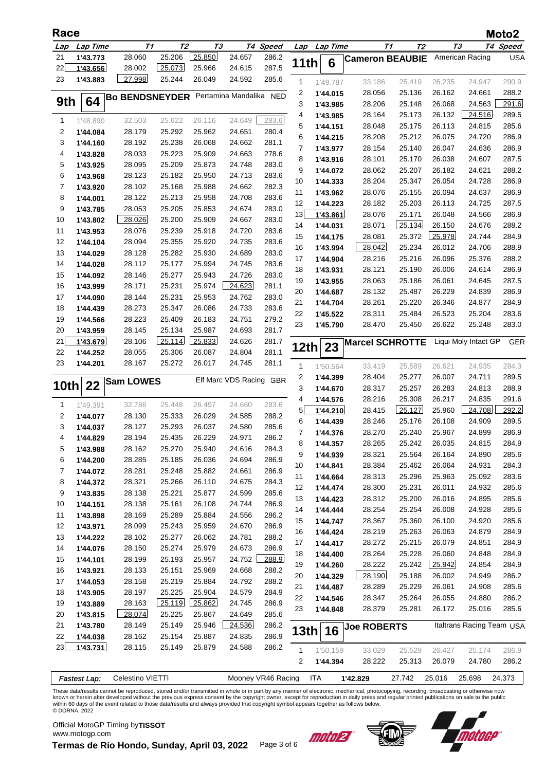| Race       |                      |                       |                  |                  |                         |                |              |                      |                        |                  |                  |                           | Moto2          |
|------------|----------------------|-----------------------|------------------|------------------|-------------------------|----------------|--------------|----------------------|------------------------|------------------|------------------|---------------------------|----------------|
| <u>Lap</u> | Lap Time             | Т1                    | T <sub>2</sub>   | TЗ               |                         | T4 Speed       |              | Lap Lap Time         |                        | T1<br>Т2         |                  | Т3                        | T4 Speed       |
| 21         | 1'43.773             | 28.060                | 25.206           | 25.850           | 24.657                  | 286.2          |              |                      | <b>Cameron BEAUBIE</b> |                  |                  | American Racing           | <b>USA</b>     |
| 22         | 1'43.656             | 28.002                | 25.073           | 25.966           | 24.615                  | 287.5          | 11th         | 6                    |                        |                  |                  |                           |                |
| 23         | 1'43.883             | 27.998                | 25.244           | 26.049           | 24.592                  | 285.6          | 1            | 1'49.787             | 33.186                 | 25.419           | 26.235           | 24.947                    | 290.9          |
|            |                      |                       |                  |                  | Pertamina Mandalika NED |                | 2            | 1'44.015             | 28.056                 | 25.136           | 26.162           | 24.661                    | 288.2          |
| 9th        | 64                   | <b>Bo BENDSNEYDER</b> |                  |                  |                         |                | 3            | 1'43.985             | 28.206                 | 25.148           | 26.068           | 24.563                    | 291.6          |
|            |                      |                       |                  |                  |                         |                | 4            | 1'43.985             | 28.164                 | 25.173           | 26.132           | 24.516                    | 289.5          |
| 1          | 1'48.890             | 32.503                | 25.622           | 26.116           | 24.649                  | 283.6          | 5            | 1'44.151             | 28.048                 | 25.175           | 26.113           | 24.815                    | 285.6          |
| 2          | 1'44.084             | 28.179                | 25.292           | 25.962           | 24.651                  | 280.4          | 6            | 1'44.215             | 28.208                 | 25.212           | 26.075           | 24.720                    | 286.9          |
| 3          | 1'44.160             | 28.192                | 25.238           | 26.068           | 24.662                  | 281.1          | 7            | 1'43.977             | 28.154                 | 25.140           | 26.047           | 24.636                    | 286.9          |
| 4          | 1'43.828             | 28.033                | 25.223           | 25.909           | 24.663                  | 278.6          | 8            | 1'43.916             | 28.101                 | 25.170           | 26.038           | 24.607                    | 287.5          |
| 5          | 1'43.925             | 28.095<br>28.123      | 25.209<br>25.182 | 25.873<br>25.950 | 24.748<br>24.713        | 283.0<br>283.6 | 9            | 1'44.072             | 28.062                 | 25.207           | 26.182           | 24.621                    | 288.2          |
| 6<br>7     | 1'43.968<br>1'43.920 | 28.102                | 25.168           | 25.988           | 24.662                  | 282.3          | 10           | 1'44.333             | 28.204                 | 25.347           | 26.054           | 24.728                    | 286.9          |
| 8          | 1'44.001             | 28.122                | 25.213           | 25.958           | 24.708                  | 283.6          | 11           | 1'43.962             | 28.076                 | 25.155           | 26.094           | 24.637                    | 286.9          |
| 9          | 1'43.785             | 28.053                | 25.205           | 25.853           | 24.674                  | 283.0          | 12           | 1'44.223             | 28.182                 | 25.203           | 26.113           | 24.725                    | 287.5          |
| 10         | 1'43.802             | 28.026                | 25.200           | 25.909           | 24.667                  | 283.0          | 13           | 1'43.861             | 28.076                 | 25.171           | 26.048           | 24.566                    | 286.9          |
| 11         | 1'43.953             | 28.076                | 25.239           | 25.918           | 24.720                  | 283.6          | 14           | 1'44.031             | 28.071                 | 25.134           | 26.150           | 24.676                    | 288.2          |
| 12         | 1'44.104             | 28.094                | 25.355           | 25.920           | 24.735                  | 283.6          | 15           | 1'44.175             | 28.081                 | 25.372           | 25.978           | 24.744                    | 284.9          |
| 13         | 1'44.029             | 28.128                | 25.282           | 25.930           | 24.689                  | 283.0          | 16           | 1'43.994             | 28.042                 | 25.234           | 26.012           | 24.706                    | 288.9          |
| 14         | 1'44.028             | 28.112                | 25.177           | 25.994           | 24.745                  | 283.6          | 17           | 1'44.904             | 28.216                 | 25.216           | 26.096           | 25.376                    | 288.2          |
| 15         | 1'44.092             | 28.146                | 25.277           | 25.943           | 24.726                  | 283.0          | 18           | 1'43.931             | 28.121                 | 25.190           | 26.006           | 24.614                    | 286.9          |
| 16         | 1'43.999             | 28.171                | 25.231           | 25.974           | 24.623                  | 281.1          | 19           | 1'43.955             | 28.063                 | 25.186           | 26.061           | 24.645                    | 287.5          |
| 17         | 1'44.090             | 28.144                | 25.231           | 25.953           | 24.762                  | 283.0          | 20           | 1'44.687             | 28.132                 | 25.487           | 26.229           | 24.839                    | 286.9          |
| 18         | 1'44.439             | 28.273                | 25.347           | 26.086           | 24.733                  | 283.6          | 21           | 1'44.704             | 28.261                 | 25.220           | 26.346           | 24.877                    | 284.9          |
| 19         | 1'44.566             | 28.223                | 25.409           | 26.183           | 24.751                  | 279.2          | 22           | 1'45.522             | 28.311                 | 25.484           | 26.523           | 25.204                    | 283.6          |
| 20         | 1'43.959             | 28.145                | 25.134           | 25.987           | 24.693                  | 281.7          | 23           | 1'45.790             | 28.470                 | 25.450           | 26.622           | 25.248                    | 283.0          |
| 21         | 1'43.679             | 28.106                | 25.114           | 25.833           | 24.626                  | 281.7          |              |                      | <b>Marcel SCHROTTE</b> |                  |                  | Liqui Moly Intact GP      | GER            |
| 22         | 1'44.252             | 28.055                | 25.306           | 26.087           | 24.804                  | 281.1          | 12th         | 23                   |                        |                  |                  |                           |                |
| 23         | 1'44.201             | 28.167                | 25.272           | 26.017           | 24.745                  | 281.1          | 1            | 1'50.564             | 33.419                 | 25.589           | 26.621           | 24.935                    | 284.3          |
|            |                      | <b>Sam LOWES</b>      |                  |                  | Elf Marc VDS Racing     | <b>GBR</b>     | 2            | 1'44.399             | 28.404                 | 25.277           | 26.007           | 24.711                    | 289.5          |
| 10th       | 22                   |                       |                  |                  |                         |                | 3            | 1'44.670             | 28.317                 | 25.257           | 26.283           | 24.813                    | 288.9          |
| 1          | 1'49.391             | 32.786                | 25.448           | 26.497           | 24.660                  | 283.6          | 4            | 1'44.576             | 28.216                 | 25.308           | 26.217           | 24.835                    | 291.6          |
| 2          | 1'44.077             | 28.130                | 25.333           | 26.029           | 24.585                  | 288.2          | 5            | 1'44.210             | 28.415                 | 25.127           | 25.960           | 24.708                    | 292.2          |
| 3          | 1'44.037             | 28.127                | 25.293           | 26.037           | 24.580                  | 285.6          | 6            | 1'44.439             | 28.246                 | 25.176           | 26.108           | 24.909                    | 289.5          |
| 4          | 1'44.829             | 28.194                | 25.435           | 26.229           | 24.971                  | 286.2          | 7            | 1'44.376             | 28.270                 | 25.240           | 25.967           | 24.899                    | 286.9          |
| 5          | 1'43.988             | 28.162                | 25.270           | 25.940           | 24.616                  | 284.3          | 8            | 1'44.357             | 28.265                 | 25.242           | 26.035           | 24.815                    | 284.9          |
| 6          | 1'44.200             | 28.285                | 25.185           | 26.036           | 24.694                  | 286.9          | 9            | 1'44.939             | 28.321                 | 25.564           | 26.164           | 24.890                    | 285.6          |
| 7          | 1'44.072             | 28.281                | 25.248           | 25.882           | 24.661                  | 286.9          | 10           | 1'44.841             | 28.384                 | 25.462           | 26.064           | 24.931                    | 284.3          |
| 8          | 1'44.372             | 28.321                | 25.266           | 26.110           | 24.675                  | 284.3          | 11           | 1'44.664             | 28.313                 | 25.296           | 25.963           | 25.092                    | 283.6          |
| 9          | 1'43.835             | 28.138                | 25.221           | 25.877           | 24.599                  | 285.6          | 12           | 1'44.474             | 28.300                 | 25.231           | 26.011           | 24.932                    | 285.6          |
| 10         | 1'44.151             | 28.138                | 25.161           | 26.108           | 24.744                  | 286.9          | 13           | 1'44.423             | 28.312                 | 25.200           | 26.016           | 24.895                    | 285.6          |
| 11         | 1'43.898             | 28.169                | 25.289           | 25.884           | 24.556                  | 286.2          | 14<br>15     | 1'44.444             | 28.254<br>28.367       | 25.254<br>25.360 | 26.008<br>26.100 | 24.928<br>24.920          | 285.6<br>285.6 |
| 12         | 1'43.971             | 28.099                | 25.243           | 25.959           | 24.670                  | 286.9          | 16           | 1'44.747<br>1'44.424 | 28.219                 | 25.263           | 26.063           | 24.879                    | 284.9          |
| 13         | 1'44.222             | 28.102                | 25.277           | 26.062           | 24.781                  | 288.2          | 17           | 1'44.417             | 28.272                 | 25.215           | 26.079           | 24.851                    | 284.9          |
| 14         | 1'44.076             | 28.150                | 25.274           | 25.979           | 24.673                  | 286.9          | 18           | 1'44.400             | 28.264                 | 25.228           | 26.060           | 24.848                    | 284.9          |
| 15         | 1'44.101             | 28.199                | 25.193           | 25.957           | 24.752                  | 288.9          | 19           | 1'44.260             | 28.222                 | 25.242           | 25.942           | 24.854                    | 284.9          |
| 16         | 1'43.921             | 28.133                | 25.151           | 25.969           | 24.668                  | 288.2          | 20           | 1'44.329             | 28.190                 | 25.188           | 26.002           | 24.949                    | 286.2          |
| 17         | 1'44.053             | 28.158                | 25.219           | 25.884           | 24.792                  | 288.2          | 21           | 1'44.487             | 28.289                 | 25.229           | 26.061           | 24.908                    | 285.6          |
| 18         | 1'43.905             | 28.197                | 25.225           | 25.904           | 24.579                  | 284.9          | 22           | 1'44.546             | 28.347                 | 25.264           | 26.055           | 24.880                    | 286.2          |
| 19         | 1'43.889             | 28.163                | 25.119           | 25.862           | 24.745                  | 286.9          | 23           | 1'44.848             | 28.379                 | 25.281           | 26.172           | 25.016                    | 285.6          |
| 20         | 1'43.815             | 28.074                | 25.225           | 25.867           | 24.649                  | 285.6          |              |                      |                        |                  |                  |                           |                |
| 21         | 1'43.780             | 28.149                | 25.149           | 25.946           | 24.536                  | 286.2          | 13th∣        | 16                   | <b>Joe ROBERTS</b>     |                  |                  | Italtrans Racing Team USA |                |
| 22         | 1'44.038             | 28.162                | 25.154           | 25.887           | 24.835                  | 286.9          |              |                      |                        |                  |                  |                           |                |
| 23         | 1'43.731             | 28.115                | 25.149           | 25.879           | 24.588                  | 286.2          | $\mathbf{1}$ | 1'50.159             | 33.029                 | 25.529           | 26.427           | 25.174                    | 286.9          |
|            |                      |                       |                  |                  |                         |                | 2            | 1'44.394             | 28.222                 | 25.313           | 26.079           | 24.780                    | 286.2          |
|            | Fastest Lap:         | Celestino VIETTI      |                  |                  | Mooney VR46 Racing      |                |              | <b>ITA</b>           | 1'42.829               | 27.742           | 25.016           | 25.698                    | 24.373         |

These data/results cannot be reproduced, stored and/or transmitted in whole or in part by any manner of electronic, mechanical, photocopying, recording, broadcasting or otherwise now<br>known or herein after developed without

Official MotoGP Timing by **TISSOT**www.motogp.com

motoez



**Termas de Río Hondo, Sunday, April 03, 2022** Page 3 of 6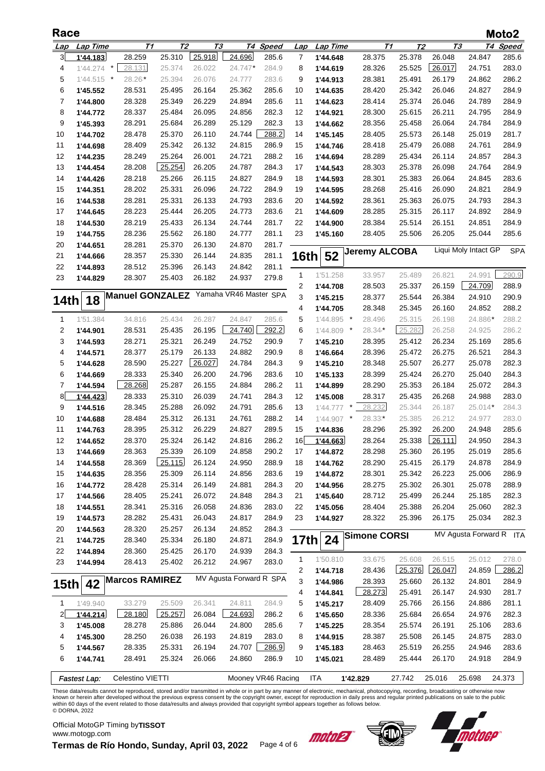| Race           |              |                        |                |        |                         |                    |              |            |                     |                      |        |                         | Moto2      |
|----------------|--------------|------------------------|----------------|--------|-------------------------|--------------------|--------------|------------|---------------------|----------------------|--------|-------------------------|------------|
| Lap            | Lap Time     | T1                     | T <sub>2</sub> | TЗ     |                         | T4 Speed           | Lap          | Lap Time   |                     | T1<br>T <sub>2</sub> |        | TЗ                      | T4 Speed   |
| 3              | 1'44.183     | 28.259                 | 25.310         | 25.918 | 24.696                  | 285.6              | 7            | 1'44.648   | 28.375              | 25.378               | 26.048 | 24.847                  | 285.6      |
| 4              | 1'44.274     | 28.131<br>$\star$      | 25.374         | 26.022 | 24.747*                 | 284.9              | 8            | 1'44.619   | 28.326              | 25.525               | 26.017 | 24.751                  | 283.0      |
| 5              | $1'44.515$ * | 28.26                  | 25.394         | 26.076 | 24.777                  | 283.6              | 9            | 1'44.913   | 28.381              | 25.491               | 26.179 | 24.862                  | 286.2      |
| 6              | 1'45.552     | 28.531                 | 25.495         | 26.164 | 25.362                  | 285.6              | 10           | 1'44.635   | 28.420              | 25.342               | 26.046 | 24.827                  | 284.9      |
| 7              | 1'44.800     | 28.328                 | 25.349         | 26.229 | 24.894                  | 285.6              | 11           | 1'44.623   | 28.414              | 25.374               | 26.046 | 24.789                  | 284.9      |
| 8              | 1'44.772     | 28.337                 | 25.484         | 26.095 | 24.856                  | 282.3              | 12           | 1'44.921   | 28.300              | 25.615               | 26.211 | 24.795                  | 284.9      |
| 9              | 1'45.393     | 28.291                 | 25.684         | 26.289 | 25.129                  | 282.3              | 13           | 1'44.662   | 28.356              | 25.458               | 26.064 | 24.784                  | 284.9      |
| 10             | 1'44.702     | 28.478                 | 25.370         | 26.110 | 24.744                  | 288.2              | 14           | 1'45.145   | 28.405              | 25.573               | 26.148 | 25.019                  | 281.7      |
| 11             | 1'44.698     | 28.409                 | 25.342         | 26.132 | 24.815                  | 286.9              | 15           | 1'44.746   | 28.418              | 25.479               | 26.088 | 24.761                  | 284.9      |
| 12             | 1'44.235     | 28.249                 | 25.264         | 26.001 | 24.721                  | 288.2              | 16           | 1'44.694   | 28.289              | 25.434               | 26.114 | 24.857                  | 284.3      |
| 13             | 1'44.454     | 28.208                 | 25.254         | 26.205 | 24.787                  | 284.3              | 17           | 1'44.543   | 28.303              | 25.378               | 26.098 | 24.764                  | 284.9      |
| 14             | 1'44.426     | 28.218                 | 25.266         | 26.115 | 24.827                  | 284.9              | 18           | 1'44.593   | 28.301              | 25.383               | 26.064 | 24.845                  | 283.6      |
| 15             | 1'44.351     | 28.202                 | 25.331         | 26.096 | 24.722                  | 284.9              | 19           | 1'44.595   | 28.268              | 25.416               | 26.090 | 24.821                  | 284.9      |
| 16             | 1'44.538     | 28.281                 | 25.331         | 26.133 | 24.793                  | 283.6              | 20           | 1'44.592   | 28.361              | 25.363               | 26.075 | 24.793                  | 284.3      |
| 17             | 1'44.645     | 28.223                 | 25.444         | 26.205 | 24.773                  | 283.6              | 21           | 1'44.609   | 28.285              | 25.315               | 26.117 | 24.892                  | 284.9      |
| 18             | 1'44.530     | 28.219                 | 25.433         | 26.134 | 24.744                  | 281.7              | 22           | 1'44.900   | 28.384              | 25.514               | 26.151 | 24.851                  | 284.9      |
| 19             | 1'44.755     | 28.236                 | 25.562         | 26.180 | 24.777                  | 281.1              | 23           | 1'45.160   | 28.405              | 25.506               | 26.205 | 25.044                  | 285.6      |
| 20             | 1'44.651     | 28.281                 | 25.370         | 26.130 | 24.870                  | 281.7              |              |            | Jeremy ALCOBA       |                      |        | Liqui Moly Intact GP    | <b>SPA</b> |
| 21             | 1'44.666     | 28.357                 | 25.330         | 26.144 | 24.835                  | 281.1              | 16th         | 52         |                     |                      |        |                         |            |
| 22             | 1'44.893     | 28.512                 | 25.396         | 26.143 | 24.842                  | 281.1              | 1            | 1'51.258   | 33.957              | 25.489               | 26.821 | 24.991                  | 290.9      |
| 23             | 1'44.829     | 28.307                 | 25.403         | 26.182 | 24.937                  | 279.8              | 2            | 1'44.708   | 28.503              | 25.337               | 26.159 | 24.709                  | 288.9      |
|                |              | <b>Manuel GONZALEZ</b> |                |        | Yamaha VR46 Master SPA  |                    | 3            | 1'45.215   | 28.377              | 25.544               | 26.384 | 24.910                  | 290.9      |
| 14th           | 18           |                        |                |        |                         |                    | 4            | 1'44.705   | 28.348              | 25.345               | 26.160 | 24.852                  | 288.2      |
| $\mathbf 1$    | 1'51.384     | 34.816                 | 25.434         | 26.287 | 24.847                  | 285.6              | 5            | 1'44.895   | $\cdot$<br>28.496   | 25.315               | 26.198 | 24.886*                 | 288.2      |
| 2              | 1'44.901     | 28.531                 | 25.435         | 26.195 | 24.740                  | 292.2              | 6            | 1'44.809   | 28.34*<br>$\star$   | 25.282               | 26.258 | 24.925                  | 286.2      |
| 3              | 1'44.593     | 28.271                 | 25.321         | 26.249 | 24.752                  | 290.9              | 7            | 1'45.210   | 28.395              | 25.412               | 26.234 | 25.169                  | 285.6      |
| 4              | 1'44.571     | 28.377                 | 25.179         | 26.133 | 24.882                  | 290.9              | 8            | 1'46.664   | 28.396              | 25.472               | 26.275 | 26.521                  | 284.3      |
| 5              | 1'44.628     | 28.590                 | 25.227         | 26.027 | 24.784                  | 284.3              | 9            | 1'45.210   | 28.348              | 25.507               | 26.277 | 25.078                  | 282.3      |
| 6              | 1'44.669     | 28.333                 | 25.340         | 26.200 | 24.796                  | 283.6              | 10           | 1'45.133   | 28.399              | 25.424               | 26.270 | 25.040                  | 284.3      |
| 7              | 1'44.594     | 28.268                 | 25.287         | 26.155 | 24.884                  | 286.2              | 11           | 1'44.899   | 28.290              | 25.353               | 26.184 | 25.072                  | 284.3      |
| 8              | 1'44.423     | 28.333                 | 25.310         | 26.039 | 24.741                  | 284.3              | 12           | 1'45.008   | 28.317              | 25.435               | 26.268 | 24.988                  | 283.0      |
| 9              | 1'44.516     | 28.345                 | 25.288         | 26.092 | 24.791                  | 285.6              | 13           | 1'44.777   | 28.232<br>$\ast$    | 25.344               | 26.187 | $25.014*$               | 284.3      |
| 10             | 1'44.688     | 28.484                 | 25.312         | 26.131 | 24.761                  | 288.2              | 14           | 1'44.907   | $\star$<br>28.33*   | 25.385               | 26.212 | 24.977                  | 283.0      |
| 11             | 1'44.763     | 28.395                 | 25.312         | 26.229 | 24.827                  | 289.5              | 15           | 1'44.836   | 28.296              | 25.392               | 26.200 | 24.948                  | 285.6      |
| 12             | 1'44.652     | 28.370                 | 25.324         | 26.142 | 24.816                  | 286.2              | 16           | 1'44.663   | 28.264              | 25.338               | 26.111 | 24.950                  | 284.3      |
| 13             | 1'44.669     | 28.363                 | 25.339         | 26.109 | 24.858                  | 290.2              | 17           | 1'44.872   | 28.298              | 25.360               | 26.195 | 25.019                  | 285.6      |
| 14             | 1'44.558     | 28.369                 | 25.115         | 26.124 | 24.950                  | 288.9              | 18           | 1'44.762   | 28.290              | 25.415               | 26.179 | 24.878                  | 284.9      |
| 15             | 1'44.635     | 28.356                 | 25.309         | 26.114 | 24.856                  | 283.6              | 19           | 1'44.872   | 28.301              | 25.342               | 26.223 | 25.006                  | 286.9      |
| 16             | 1'44.772     | 28.428                 | 25.314         | 26.149 | 24.881                  | 284.3              | 20           | 1'44.956   | 28.275              | 25.302               | 26.301 | 25.078                  | 288.9      |
| 17             | 1'44.566     | 28.405                 | 25.241         | 26.072 | 24.848                  | 284.3              | 21           | 1'45.640   | 28.712              | 25.499               | 26.244 | 25.185                  | 282.3      |
| 18             | 1'44.551     | 28.341                 | 25.316         | 26.058 | 24.836                  | 283.0              | 22           | 1'45.056   | 28.404              | 25.388               | 26.204 | 25.060                  | 282.3      |
| 19             | 1'44.573     | 28.282                 | 25.431         | 26.043 | 24.817                  | 284.9              | 23           | 1'44.927   | 28.322              | 25.396               | 26.175 | 25.034                  | 282.3      |
| 20             | 1'44.563     | 28.320                 | 25.257         | 26.134 | 24.852                  | 284.3              |              |            | <b>Simone CORSI</b> |                      |        | MV Agusta Forward R ITA |            |
| 21             | 1'44.725     | 28.340                 | 25.334         | 26.180 | 24.871                  | 284.9              | 17th         | 24         |                     |                      |        |                         |            |
| 22             | 1'44.894     | 28.360                 | 25.425         | 26.170 | 24.939                  | 284.3              | $\mathbf{1}$ | 1'50.810   | 33.675              | 25.608               | 26.515 | 25.012                  | 278.0      |
| 23             | 1'44.994     | 28.413                 | 25.402         | 26.212 | 24.967                  | 283.0              | 2            | 1'44.718   | 28.436              | 25.376               | 26.047 | 24.859                  | 286.2      |
|                | 42           | <b>Marcos RAMIREZ</b>  |                |        | MV Agusta Forward R SPA |                    | 3            | 1'44.986   | 28.393              | 25.660               | 26.132 | 24.801                  | 284.9      |
| 15th           |              |                        |                |        |                         |                    | 4            | 1'44.841   | 28.273              | 25.491               | 26.147 | 24.930                  | 281.7      |
| $\mathbf{1}$   | 1'49.940     | 33.279                 | 25.509         | 26.341 | 24.811                  | 284.9              | 5            | 1'45.217   | 28.409              | 25.766               | 26.156 | 24.886                  | 281.1      |
| $\overline{2}$ | 1'44.214     | 28.180                 | 25.257         | 26.084 | 24.693                  | 286.2              | 6            | 1'45.650   | 28.336              | 25.684               | 26.654 | 24.976                  | 282.3      |
| 3              | 1'45.008     | 28.278                 | 25.886         | 26.044 | 24.800                  | 285.6              | 7            | 1'45.225   | 28.354              | 25.574               | 26.191 | 25.106                  | 283.6      |
| 4              | 1'45.300     | 28.250                 | 26.038         | 26.193 | 24.819                  | 283.0              | 8            | 1'44.915   | 28.387              | 25.508               | 26.145 | 24.875                  | 283.0      |
| 5              | 1'44.567     | 28.335                 | 25.331         | 26.194 | 24.707                  | 286.9              | 9            | 1'45.183   | 28.463              | 25.519               | 26.255 | 24.946                  | 283.6      |
| 6              | 1'44.741     | 28.491                 | 25.324         | 26.066 | 24.860                  | 286.9              | 10           | 1'45.021   | 28.489              | 25.444               | 26.170 | 24.918                  | 284.9      |
|                |              |                        |                |        |                         |                    |              |            |                     |                      |        |                         |            |
|                | Fastest Lap: | Celestino VIETTI       |                |        |                         | Mooney VR46 Racing |              | <b>ITA</b> | 1'42.829            | 27.742               | 25.016 | 25.698                  | 24.373     |

These data/results cannot be reproduced, stored and/or transmitted in whole or in part by any manner of electronic, mechanical, photocopying, recording, broadcasting or otherwise now<br>known or herein after developed without © DORNA, 2022

Official MotoGP Timing by **TISSOT**www.motogp.com

**Termas de Río Hondo, Sunday, April 03, 2022** Page 4 of 6



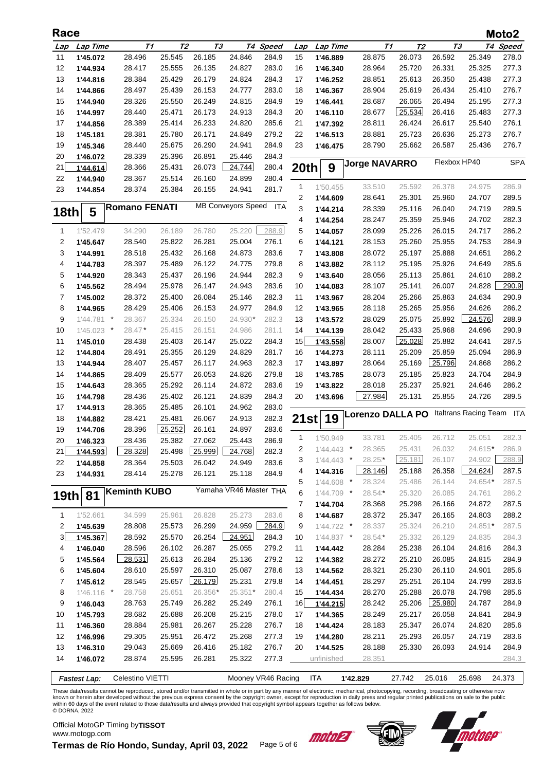| Race           |                     |                      |                |         |                           |          |                |              |                         |                |              |                       | Moto2      |
|----------------|---------------------|----------------------|----------------|---------|---------------------------|----------|----------------|--------------|-------------------------|----------------|--------------|-----------------------|------------|
| Lap            | Lap Time            | Т1                   | T <sub>2</sub> | TЗ      |                           | T4 Speed | Lap            | Lap Time     | T1                      | T <sub>2</sub> | TЗ           |                       | T4 Speed   |
| 11             | 1'45.072            | 28.496               | 25.545         | 26.185  | 24.846                    | 284.9    | 15             | 1'46.889     | 28.875                  | 26.073         | 26.592       | 25.349                | 278.0      |
| 12             | 1'44.934            | 28.417               | 25.555         | 26.135  | 24.827                    | 283.0    | 16             | 1'46.340     | 28.964                  | 25.720         | 26.331       | 25.325                | 277.3      |
| 13             | 1'44.816            | 28.384               | 25.429         | 26.179  | 24.824                    | 284.3    | 17             | 1'46.252     | 28.851                  | 25.613         | 26.350       | 25.438                | 277.3      |
| 14             | 1'44.866            | 28.497               | 25.439         | 26.153  | 24.777                    | 283.0    | 18             | 1'46.367     | 28.904                  | 25.619         | 26.434       | 25.410                | 276.7      |
| 15             | 1'44.940            | 28.326               | 25.550         | 26.249  | 24.815                    | 284.9    | 19             | 1'46.441     | 28.687                  | 26.065         | 26.494       | 25.195                | 277.3      |
| 16             | 1'44.997            | 28.440               | 25.471         | 26.173  | 24.913                    | 284.3    | 20             | 1'46.110     | 28.677                  | 25.534         | 26.416       | 25.483                | 277.3      |
| 17             | 1'44.856            | 28.389               | 25.414         | 26.233  | 24.820                    | 285.6    | 21             | 1'47.392     | 28.811                  | 26.424         | 26.617       | 25.540                | 276.1      |
| 18             | 1'45.181            | 28.381               | 25.780         | 26.171  | 24.849                    | 279.2    | 22             | 1'46.513     | 28.881                  | 25.723         | 26.636       | 25.273                | 276.7      |
| 19             | 1'45.346            | 28.440               | 25.675         | 26.290  | 24.941                    | 284.9    | 23             | 1'46.475     | 28.790                  | 25.662         | 26.587       | 25.436                | 276.7      |
| 20             | 1'46.072            | 28.339               | 25.396         | 26.891  | 25.446                    | 284.3    |                |              |                         |                |              |                       |            |
| 21             | 1'44.614            | 28.366               | 25.431         | 26.073  | 24.744                    | 280.4    | 20th           | 9            | <b>Jorge NAVARRO</b>    |                | Flexbox HP40 |                       | <b>SPA</b> |
| 22             | 1'44.940            | 28.367               | 25.514         | 26.160  | 24.899                    | 280.4    |                |              |                         |                |              |                       |            |
| 23             | 1'44.854            | 28.374               | 25.384         | 26.155  | 24.941                    | 281.7    | 1              | 1'50.455     | 33.510                  | 25.592         | 26.378       | 24.975                | 286.9      |
|                |                     |                      |                |         |                           |          | 2              | 1'44.609     | 28.641                  | 25.301         | 25.960       | 24.707                | 289.5      |
| 18th           | 5                   | <b>Romano FENATI</b> |                |         | <b>MB Conveyors Speed</b> | ITA      | 3              | 1'44.214     | 28.339                  | 25.116         | 26.040       | 24.719                | 289.5      |
|                |                     |                      |                |         |                           |          | 4              | 1'44.254     | 28.247                  | 25.359         | 25.946       | 24.702                | 282.3      |
| 1              | 1'52.479            | 34.290               | 26.189         | 26.780  | 25.220                    | 288.9    | 5              | 1'44.057     | 28.099                  | 25.226         | 26.015       | 24.717                | 286.2      |
| 2              | 1'45.647            | 28.540               | 25.822         | 26.281  | 25.004                    | 276.1    | 6              | 1'44.121     | 28.153                  | 25.260         | 25.955       | 24.753                | 284.9      |
| 3              | 1'44.991            | 28.518               | 25.432         | 26.168  | 24.873                    | 283.6    | 7              | 1'43.808     | 28.072                  | 25.197         | 25.888       | 24.651                | 286.2      |
| 4              | 1'44.783            | 28.397               | 25.489         | 26.122  | 24.775                    | 279.8    | 8              | 1'43.882     | 28.112                  | 25.195         | 25.926       | 24.649                | 285.6      |
| 5              | 1'44.920            | 28.343               | 25.437         | 26.196  | 24.944                    | 282.3    | 9              | 1'43.640     | 28.056                  | 25.113         | 25.861       | 24.610                | 288.2      |
| 6              | 1'45.562            | 28.494               | 25.978         | 26.147  | 24.943                    | 283.6    | 10             | 1'44.083     | 28.107                  | 25.141         | 26.007       | 24.828                | 290.9      |
| 7              | 1'45.002            | 28.372               | 25.400         | 26.084  | 25.146                    | 282.3    | 11             | 1'43.967     | 28.204                  | 25.266         | 25.863       | 24.634                | 290.9      |
| 8              | 1'44.965            | 28.429               | 25.406         | 26.153  | 24.977                    | 284.9    | 12             | 1'43.965     | 28.118                  | 25.265         | 25.956       | 24.626                | 286.2      |
| 9              | 1'44.781<br>$\cdot$ | 28.367               | 25.334         | 26.150  | 24.930*                   | 282.3    | 13             | 1'43.572     | 28.029                  | 25.075         | 25.892       | 24.576                | 288.9      |
| 10             | $1'45.023$ *        | 28.47*               | 25.415         | 26.151  | 24.986                    | 281.1    | 14             | 1'44.139     | 28.042                  | 25.433         | 25.968       | 24.696                | 290.9      |
| 11             | 1'45.010            | 28.438               | 25.403         | 26.147  | 25.022                    | 284.3    | 15             | 1'43.558     | 28.007                  | 25.028         | 25.882       | 24.641                | 287.5      |
| 12             | 1'44.804            | 28.491               | 25.355         | 26.129  | 24.829                    | 281.7    | 16             | 1'44.273     | 28.111                  | 25.209         | 25.859       | 25.094                | 286.9      |
| 13             | 1'44.944            | 28.407               | 25.457         | 26.117  | 24.963                    | 282.3    | 17             | 1'43.897     | 28.064                  | 25.169         | 25.796       | 24.868                | 286.2      |
| 14             | 1'44.865            | 28.409               | 25.577         | 26.053  | 24.826                    | 279.8    | 18             | 1'43.785     | 28.073                  | 25.185         | 25.823       | 24.704                | 284.9      |
| 15             | 1'44.643            | 28.365               | 25.292         | 26.114  | 24.872                    | 283.6    | 19             | 1'43.822     | 28.018                  | 25.237         | 25.921       | 24.646                | 286.2      |
| 16             | 1'44.798            | 28.436               | 25.402         | 26.121  | 24.839                    | 284.3    | 20             | 1'43.696     | 27.984                  | 25.131         | 25.855       | 24.726                | 289.5      |
| 17             | 1'44.913            | 28.365               | 25.485         | 26.101  | 24.962                    | 283.0    |                |              |                         |                |              |                       |            |
| 18             | 1'44.882            | 28.421               | 25.481         | 26.067  | 24.913                    | 282.3    | 21st           | 19           | <b>Lorenzo DALLA PO</b> |                |              | Italtrans Racing Team | ITA        |
| 19             | 1'44.706            | 28.396               | 25.252         | 26.161  | 24.897                    | 283.6    |                |              |                         |                |              |                       |            |
| 20             | 1'46.323            | 28.436               | 25.382         | 27.062  | 25.443                    | 286.9    | 1              | 1'50.949     | 33.781                  | 25.405         | 26.712       | 25.051                | 282.3      |
| 21             | 1'44.593            | 28.328               | 25.498         | 25.999  | 24.768                    | 282.3    | 2              | $1'44.443$ * | 28.365                  | 25.431         | 26.032       | 24.615*               | 286.9      |
| 22             | 1'44.858            | 28.364               | 25.503         | 26.042  | 24.949                    | 283.6    | 3              | $1'44.443$ * | 28.25*                  | 25.181         | 26.107       | 24.902                | 288.9      |
| 23             | 1'44.931            | 28.414               | 25.278         | 26.121  | 25.118                    | 284.9    | 4              | 1'44.316     | 28.146                  | 25.188         | 26.358       | 24.624                | 287.5      |
|                |                     |                      |                |         |                           |          | 5              | $1'44.608$ * | 28.324                  | 25.486         | 26.144       | 24.654*               | 287.5      |
|                | 19th 81             | <b>Keminth KUBO</b>  |                |         | Yamaha VR46 Master THA    |          | 6              | $1'44.709$ * | 28.54*                  | 25.320         | 26.085       | 24.761                | 286.2      |
|                |                     |                      |                |         |                           |          | $\overline{7}$ | 1'44.704     | 28.368                  | 25.298         | 26.166       | 24.872                | 287.5      |
| $\mathbf{1}$   | 1'52.661            | 34.599               | 25.961         | 26.828  | 25.273                    | 283.6    | 8              | 1'44.687     | 28.372                  | 25.347         | 26.165       | 24.803                | 288.2      |
| 2              | 1'45.639            | 28.808               | 25.573         | 26.299  | 24.959                    | 284.9    | 9              | $1'44.722$ * | 28.337                  | 25.324         | 26.210       | 24.851*               | 287.5      |
| 3              | 1'45.367            | 28.592               | 25.570         | 26.254  | 24.951                    | 284.3    | 10             | $1'44.837$ * | 28.54*                  | 25.332         | 26.129       | 24.835                | 284.3      |
| 4              | 1'46.040            | 28.596               | 26.102         | 26.287  | 25.055                    | 279.2    | 11             | 1'44.442     | 28.284                  | 25.238         | 26.104       | 24.816                | 284.3      |
| 5              | 1'45.564            | 28.531               | 25.613         | 26.284  | 25.136                    | 279.2    | 12             | 1'44.382     | 28.272                  | 25.210         | 26.085       | 24.815                | 284.9      |
| 6              | 1'45.604            | 28.610               | 25.597         | 26.310  | 25.087                    | 278.6    | 13             | 1'44.562     | 28.321                  | 25.230         | 26.110       | 24.901                | 285.6      |
| $\overline{7}$ | 1'45.612            | 28.545               | 25.657         | 26.179  | 25.231                    | 279.8    | 14             | 1'44.451     | 28.297                  | 25.251         | 26.104       | 24.799                | 283.6      |
| 8              | $1'46.116$ *        | 28.758               | 25.651         | 26.356* | 25.351*                   | 280.4    | 15             | 1'44.434     | 28.270                  | 25.288         | 26.078       | 24.798                | 285.6      |
| 9              | 1'46.043            | 28.763               | 25.749         | 26.282  | 25.249                    | 276.1    | 16             | 1'44.215     | 28.242                  | 25.206         | 25.980       | 24.787                | 284.9      |
| 10             | 1'45.793            | 28.682               | 25.688         | 26.208  | 25.215                    | 278.0    | 17             | 1'44.365     | 28.249                  | 25.217         | 26.058       | 24.841                | 284.9      |
| 11             | 1'46.360            | 28.884               | 25.981         | 26.267  | 25.228                    | 276.7    | 18             | 1'44.424     | 28.183                  | 25.347         | 26.074       | 24.820                | 285.6      |
| 12             | 1'46.996            | 29.305               | 25.951         | 26.472  | 25.268                    | 277.3    | 19             | 1'44.280     | 28.211                  | 25.293         | 26.057       | 24.719                | 283.6      |
| 13             | 1'46.310            | 29.043               | 25.669         | 26.416  | 25.182                    | 276.7    | 20             | 1'44.525     | 28.188                  | 25.330         | 26.093       | 24.914                | 284.9      |
| 14             | 1'46.072            | 28.874               | 25.595         | 26.281  | 25.322                    | 277.3    |                | unfinished   | 28.351                  |                |              |                       | 284.3      |
|                | Fastest Lap:        | Celestino VIETTI     |                |         | Mooney VR46 Racing        |          |                | <b>ITA</b>   | 1'42.829                | 27.742         | 25.016       | 25.698                | 24.373     |

These data/results cannot be reproduced, stored and/or transmitted in whole or in part by any manner of electronic, mechanical, photocopying, recording, broadcasting or otherwise now<br>known or herein after developed without

© DORNA, 2022 Official MotoGP Timing by **TISSOT**

www.motogp.com





**Termas de Río Hondo, Sunday, April 03, 2022** Page 5 of 6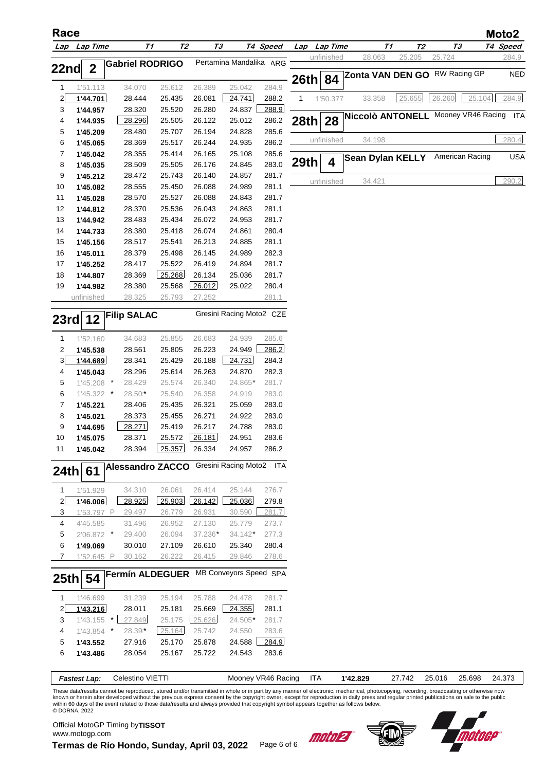| Race                    |                      |                         |                  |                  |                          |                    |      |              |                                         |           |                 |        | Moto2      |
|-------------------------|----------------------|-------------------------|------------------|------------------|--------------------------|--------------------|------|--------------|-----------------------------------------|-----------|-----------------|--------|------------|
|                         | Lap Lap Time         | T1                      | <b>T2</b>        |                  | Т3                       | T4 Speed           |      | Lap Lap Time | Т1                                      | <u>72</u> | Т3              |        | T4 Speed   |
| 22nd                    | $\boldsymbol{2}$     | <b>Gabriel RODRIGO</b>  |                  |                  | Pertamina Mandalika ARG  |                    |      | unfinished   | 28.063                                  | 25.205    | 25.724          |        | 284.9      |
|                         |                      |                         |                  |                  |                          |                    | 26th | 84           | Zonta VAN DEN GO RW Racing GP           |           |                 |        | <b>NED</b> |
| 1                       | 1'51.113             | 34.070                  | 25.612           | 26.389           | 25.042                   | 284.9<br>288.2     | 1    |              |                                         | 25.655    | 26.260          | 25.104 | 284.9      |
| $2\vert$<br>3           | 1'44.701<br>1'44.957 | 28.444<br>28.320        | 25.435<br>25.520 | 26.081<br>26.280 | 24.741<br>24.837         | 288.9              |      | 1'50.377     | 33.358                                  |           |                 |        |            |
| 4                       | 1'44.935             | 28.296                  | 25.505           | 26.122           | 25.012                   | 286.2              | 28th | 28           | Niccolò ANTONELL Mooney VR46 Racing ITA |           |                 |        |            |
| 5                       | 1'45.209             | 28.480                  | 25.707           | 26.194           | 24.828                   | 285.6              |      |              |                                         |           |                 |        |            |
| 6                       | 1'45.065             | 28.369                  | 25.517           | 26.244           | 24.935                   | 286.2              |      | unfinished   | 34.198                                  |           |                 |        | 280.4      |
| $\overline{7}$          | 1'45.042             | 28.355                  | 25.414           | 26.165           | 25.108                   | 285.6              |      |              | <b>Sean Dylan KELLY</b>                 |           | American Racing |        | <b>USA</b> |
| 8                       | 1'45.035             | 28.509                  | 25.505           | 26.176           | 24.845                   | 283.0              | 29th | 4            |                                         |           |                 |        |            |
| 9                       | 1'45.212             | 28.472                  | 25.743           | 26.140           | 24.857                   | 281.7              |      | unfinished   | 34.421                                  |           |                 |        | 290.2      |
| 10                      | 1'45.082             | 28.555                  | 25.450           | 26.088           | 24.989                   | 281.1              |      |              |                                         |           |                 |        |            |
| 11                      | 1'45.028             | 28.570                  | 25.527           | 26.088           | 24.843                   | 281.7              |      |              |                                         |           |                 |        |            |
| 12                      | 1'44.812             | 28.370                  | 25.536           | 26.043           | 24.863                   | 281.1              |      |              |                                         |           |                 |        |            |
| 13                      | 1'44.942             | 28.483                  | 25.434           | 26.072           | 24.953                   | 281.7              |      |              |                                         |           |                 |        |            |
| 14                      | 1'44.733             | 28.380                  | 25.418           | 26.074           | 24.861                   | 280.4              |      |              |                                         |           |                 |        |            |
| 15<br>16                | 1'45.156             | 28.517<br>28.379        | 25.541<br>25.498 | 26.213<br>26.145 | 24.885<br>24.989         | 281.1<br>282.3     |      |              |                                         |           |                 |        |            |
| 17                      | 1'45.011<br>1'45.252 | 28.417                  | 25.522           | 26.419           | 24.894                   | 281.7              |      |              |                                         |           |                 |        |            |
| 18                      | 1'44.807             | 28.369                  | 25.268           | 26.134           | 25.036                   | 281.7              |      |              |                                         |           |                 |        |            |
| 19                      | 1'44.982             | 28.380                  | 25.568           | 26.012           | 25.022                   | 280.4              |      |              |                                         |           |                 |        |            |
|                         | unfinished           | 28.325                  | 25.793           | 27.252           |                          | 281.1              |      |              |                                         |           |                 |        |            |
|                         |                      | <b>Filip SALAC</b>      |                  |                  | Gresini Racing Moto2 CZE |                    |      |              |                                         |           |                 |        |            |
| 23rd                    | 12                   |                         |                  |                  |                          |                    |      |              |                                         |           |                 |        |            |
| 1                       | 1'52.160             | 34.683                  | 25.855           | 26.683           | 24.939                   | 285.6              |      |              |                                         |           |                 |        |            |
| $\overline{\mathbf{c}}$ | 1'45.538             | 28.561                  | 25.805           | 26.223           | 24.949                   | 286.2              |      |              |                                         |           |                 |        |            |
| 3                       | 1'44.689             | 28.341                  | 25.429           | 26.188           | 24.731                   | 284.3              |      |              |                                         |           |                 |        |            |
| 4                       | 1'45.043             | 28.296                  | 25.614           | 26.263           | 24.870                   | 282.3              |      |              |                                         |           |                 |        |            |
| 5                       | $1'45.208$ *         | 28.429                  | 25.574           | 26.340           | 24.865*                  | 281.7              |      |              |                                         |           |                 |        |            |
| 6                       | 1'45.322 *           | 28.50                   | 25.540           | 26.358           | 24.919                   | 283.0              |      |              |                                         |           |                 |        |            |
| $\overline{7}$          | 1'45.221             | 28.406<br>28.373        | 25.435<br>25.455 | 26.321<br>26.271 | 25.059<br>24.922         | 283.0<br>283.0     |      |              |                                         |           |                 |        |            |
| 8<br>9                  | 1'45.021<br>1'44.695 | 28.271                  | 25.419           | 26.217           | 24.788                   | 283.0              |      |              |                                         |           |                 |        |            |
| 10                      | 1'45.075             | 28.371                  |                  | 25.572 26.181    | 24.951                   | 283.6              |      |              |                                         |           |                 |        |            |
| 11                      | 1'45.042             | 28.394                  | 25.357           | 26.334           | 24.957                   | 286.2              |      |              |                                         |           |                 |        |            |
| 24th                    | 61                   | <b>Alessandro ZACCO</b> |                  |                  | Gresini Racing Moto2     | ITA                |      |              |                                         |           |                 |        |            |
| $\mathbf{1}$            | 1'51.929             | 34.310                  | 26.061           | 26.414           | 25.144                   | 276.7              |      |              |                                         |           |                 |        |            |
| $\mathbf{z}$            | 1'46.006             | 28.925                  | 25.903           | 26.142           | 25.036                   | 279.8              |      |              |                                         |           |                 |        |            |
| 3                       | 1'53.797 P           | 29.497                  | 26.779           | 26.931           | 30.590                   | 281.7              |      |              |                                         |           |                 |        |            |
| 4                       | 4'45.585             | 31.496                  | 26.952           | 27.130           | 25.779                   | 273.7              |      |              |                                         |           |                 |        |            |
| 5                       | 2'06.872 *           | 29.400                  | 26.094           | 37.236*          | $34.142*$                | 277.3              |      |              |                                         |           |                 |        |            |
| 6                       | 1'49.069             | 30.010                  | 27.109           | 26.610           | 25.340                   | 280.4              |      |              |                                         |           |                 |        |            |
| $\overline{7}$          | 1'52.645 P           | 30.162                  | 26.222           | 26.415           | 29.846                   | 278.6              |      |              |                                         |           |                 |        |            |
| 25th                    | 54                   | <b>Fermín ALDEGUER</b>  |                  |                  | MB Conveyors Speed SPA   |                    |      |              |                                         |           |                 |        |            |
| 1                       | 1'46.699             | 31.239                  | 25.194           | 25.788           | 24.478                   | 281.7              |      |              |                                         |           |                 |        |            |
| $2\vert$                | 1'43.216             | 28.011                  | 25.181           | 25.669           | 24.355                   | 281.1              |      |              |                                         |           |                 |        |            |
| 3                       | $1'43.155$ *         | 27.849                  | 25.175           | 25.626           | 24.505*                  | 281.7              |      |              |                                         |           |                 |        |            |
| 4                       | $1'43.854$ *         | 28.39                   | 25.164           | 25.742           | 24.550                   | 283.6              |      |              |                                         |           |                 |        |            |
| 5                       | 1'43.552             | 27.916                  | 25.170           | 25.878           | 24.588                   | 284.9              |      |              |                                         |           |                 |        |            |
| 6                       | 1'43.486             | 28.054                  | 25.167           | 25.722           | 24.543                   | 283.6              |      |              |                                         |           |                 |        |            |
|                         | <b>Fastest Lap:</b>  | Celestino VIETTI        |                  |                  |                          | Mooney VR46 Racing |      | <b>ITA</b>   | 1'42.829                                | 27.742    | 25.016          | 25.698 | 24.373     |

These data/results cannot be reproduced, stored and/or transmitted in whole or in part by any manner of electronic, mechanical, photocopying, recording, broadcasting or otherwise now<br>known or herein after developed without

Official MotoGP Timing by **TISSOT**www.motogp.com

**Termas de Río Hondo, Sunday, April 03, 2022** Page 6 of 6



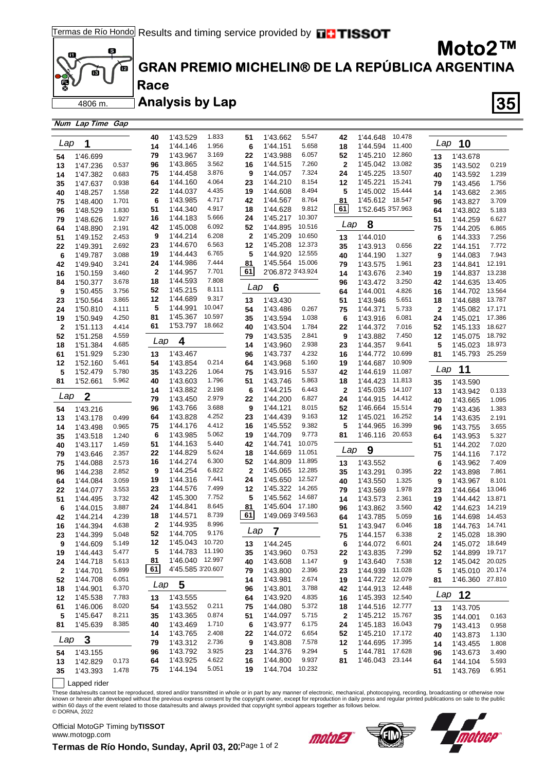

### **GRAN PREMIO MICHELIN® DE LA REPÚBLICA ARGENTINA**

Analysis by Lap **35** 

|              | Num Lap Time Gap |       |     |                   |        |                  |                         |        |              |                   |        |              |                 |        |
|--------------|------------------|-------|-----|-------------------|--------|------------------|-------------------------|--------|--------------|-------------------|--------|--------------|-----------------|--------|
|              |                  |       | 40  | 1'43.529          | 1.833  | 51               | 1'43.662                | 5.547  | 42           | 1'44.648          | 10.478 |              |                 |        |
| Lap          | 1                |       | 14  | 1'44.146          | 1.956  | 6                | 1'44.151                | 5.658  | 18           | 1'44.594          | 11.400 | Lap          | 10              |        |
|              |                  |       |     | 1'43.967          | 3.169  |                  | 1'43.988                | 6.057  |              | 1'45.210          | 12.860 |              |                 |        |
| 54           | 1'46.699         |       | 79  |                   | 3.562  | 22               |                         | 7.260  | 52           |                   | 13.082 | 13           | 1'43.678        |        |
| 13           | 1'47.236         | 0.537 | 96  | 1'43.865          |        | 16               | 1'44.515<br>1'44.057    | 7.324  | $\mathbf{2}$ | 1'45.042          | 13.507 | 35           | 1'43.502        | 0.219  |
| 14           | 1'47.382         | 0.683 | 75  | 1'44.458          | 3.876  | 9                |                         |        | 24           | 1'45.225          |        | 40           | 1'43.592        | 1.239  |
| 35           | 1'47.637         | 0.938 | 64  | 1'44.160          | 4.064  | 23               | 1'44.210                | 8.154  | 12           | 1'45.221          | 15.241 | 79           | 1'43.456        | 1.756  |
| 40           | 1'48.257         | 1.558 | 22  | 1'44.037          | 4.435  | 19               | 1'44.608                | 8.494  | 5            | 1'45.002          | 15.444 | 14           | 1'43.682        | 2.365  |
| 75           | 1'48.400         | 1.701 | 6   | 1'43.985          | 4.717  | 42               | 1'44.567                | 8.764  | 81           | 1'45.612 18.547   |        | 96           | 1'43.827        | 3.709  |
| 96           | 1'48.529         | 1.830 | 51  | 1'44.340          | 4.917  | 18               | 1'44.628                | 9.812  | 61           | 1'52.645 3'57.963 |        | 64           | 1'43.802        | 5.183  |
| 79           | 1'48.626         | 1.927 | 16  | 1'44.183          | 5.666  | 24               | 1'45.217                | 10.307 | Lap          | 8                 |        | 51           | 1'44.259        | 6.627  |
| 64           | 1'48.890         | 2.191 | 42  | 1'45.008          | 6.092  | 52               | 1'44.895                | 10.516 |              |                   |        | 75           | 1'44.205        | 6.865  |
| 51           | 1'49.152         | 2.453 | 9   | 1'44.214          | 6.208  | $\boldsymbol{2}$ | 1'45.209                | 10.650 | 13           | 1'44.010          |        | 6            | 1'44.333        | 7.256  |
| 22           | 1'49.391         | 2.692 | 23  | 1'44.670          | 6.563  | 12               | 1'45.208                | 12.373 | 35           | 1'43.913          | 0.656  | 22           | 1'44.151        | 7.772  |
| 6            | 1'49.787         | 3.088 | 19  | 1'44.443          | 6.765  | 5                | 1'44.920                | 12.555 | 40           | 1'44.190          | 1.327  | 9            | 1'44.083        | 7.943  |
| 42           | 1'49.940         | 3.241 | 24  | 1'44.986          | 7.444  | 81               | 1'45.564 15.006         |        | 79           | 1'43.575          | 1.961  | 23           | 1'44.841        | 12.191 |
| 16           | 1'50.159         | 3.460 | 2   | 1'44.957          | 7.701  | 61               | 2'06.872 3'43.924       |        | 14           | 1'43.676          | 2.340  | 19           | 1'44.837        | 13.238 |
| 84           | 1'50.377         | 3.678 | 18  | 1'44.593          | 7.808  | Lap              |                         |        | 96           | 1'43.472          | 3.250  | 42           | 1'44.635        | 13.405 |
| 9            | 1'50.455         | 3.756 | 52  | 1'45.215          | 8.111  |                  | $6\phantom{1}6$         |        | 64           | 1'44.001          | 4.826  | 16           | 1'44.702        | 13.564 |
| 23           | 1'50.564         | 3.865 | 12  | 1'44.689          | 9.317  | 13               | 1'43.430                |        | 51           | 1'43.946          | 5.651  | 18           | 1'44.688        | 13.787 |
| 24           | 1'50.810         | 4.111 | 5   | 1'44.991          | 10.047 | 54               | 1'43.486                | 0.267  | 75           | 1'44.371          | 5.733  | $\mathbf{2}$ | 1'45.082        | 17.171 |
| 19           | 1'50.949         | 4.250 | 81  | 1'45.367          | 10.597 | 35               | 1'43.594                | 1.038  | 6            | 1'43.916          | 6.081  | 24           | 1'45.021        | 17.386 |
| 2            | 1'51.113         | 4.414 | 61  | 1'53.797          | 18.662 | 40               | 1'43.504                | 1.784  | 22           | 1'44.372          | 7.016  | 52           | 1'45.133        | 18.627 |
| 52           | 1'51.258         | 4.559 |     |                   |        | 79               | 1'43.535                | 2.841  | 9            | 1'43.882          | 7.450  | 12           | 1'45.075        | 18.792 |
| 18           | 1'51.384         | 4.685 | Lap | 4                 |        | 14               | 1'43.960                | 2.938  | 23           | 1'44.357          | 9.641  | 5            | 1'45.023        | 18.973 |
| 61           | 1'51.929         | 5.230 | 13  | 1'43.467          |        | 96               | 1'43.737                | 4.232  | 16           | 1'44.772          | 10.699 | 81           | 1'45.793 25.259 |        |
| 12           | 1'52.160         | 5.461 | 54  | 1'43.854          | 0.214  | 64               | 1'43.968                | 5.160  | 19           | 1'44.687          | 10.909 |              |                 |        |
| 5            | 1'52.479         | 5.780 | 35  | 1'43.226          | 1.064  | 75               | 1'43.916                | 5.537  | 42           | 1'44.619          | 11.087 | Lap          | 11              |        |
| 81           | 1'52.661         | 5.962 | 40  | 1'43.603          | 1.796  | 51               | 1'43.746                | 5.863  | 18           | 1'44.423          | 11.813 | 35           | 1'43.590        |        |
|              |                  |       | 14  | 1'43.882          | 2.198  | 6                | 1'44.215                | 6.443  | $\mathbf{2}$ | 1'45.035          | 14.107 | 13           | 1'43.942        | 0.133  |
| Lap          | $\boldsymbol{2}$ |       | 79  | 1'43.450          | 2.979  | 22               | 1'44.200                | 6.827  | 24           | 1'44.915          | 14.412 | 40           | 1'43.665        | 1.095  |
| 54           | 1'43.216         |       | 96  | 1'43.766          | 3.688  | 9                | 1'44.121                | 8.015  | 52           | 1'46.664          | 15.514 | 79           | 1'43.436        | 1.383  |
| 13           | 1'43.178         | 0.499 | 64  | 1'43.828          | 4.252  | 23               | 1'44.439                | 9.163  | 12           | 1'45.021          | 16.252 | 14           | 1'43.635        | 2.191  |
| 14           | 1'43.498         | 0.965 | 75  | 1'44.176          | 4.412  | 16               | 1'45.552                | 9.382  | 5            | 1'44.965          | 16.399 | 96           | 1'43.755        | 3.655  |
| 35           | 1'43.518         | 1.240 | 6   | 1'43.985          | 5.062  | 19               | 1'44.709                | 9.773  | 81           | 1'46.116 20.653   |        | 64           | 1'43.953        | 5.327  |
| 40           | 1'43.117         | 1.459 | 51  | 1'44.163          | 5.440  | 42               | 1'44.741                | 10.075 |              |                   |        | 51           | 1'44.202        | 7.020  |
| 79           | 1'43.646         | 2.357 | 22  | 1'44.829          | 5.624  | 18               | 1'44.669                | 11.051 | Lap          | 9                 |        | 75           | 1'44.116        | 7.172  |
| 75           | 1'44.088         | 2.573 | 16  | 1'44.274          | 6.300  | 52               | 1'44.809                | 11.895 | 13           | 1'43.552          |        | 6            | 1'43.962        | 7.409  |
| 96           | 1'44.238         | 2.852 | 9   | 1'44.254          | 6.822  | $\mathbf{2}$     | 1'45.065                | 12.285 | 35           | 1'43.291          | 0.395  | 22           | 1'43.898        | 7.861  |
| 64           | 1'44.084         | 3.059 | 19  | 1'44.316          | 7.441  | 24               | 1'45.650                | 12.527 | 40           | 1'43.550          | 1.325  | 9            | 1'43.967        | 8.101  |
| 22           | 1'44.077         | 3.553 | 23  | 1'44.576          | 7.499  | 12               | 1'45.322                | 14.265 | 79           | 1'43.569          | 1.978  | 23           | 1'44.664        | 13.046 |
| 51           | 1'44.495         | 3.732 | 42  | 1'45.300          | 7.752  | 5                | 1'45.562                | 14.687 | 14           | 1'43.573          | 2.361  | 19           | 1'44.442        | 13.871 |
| 6            | 1'44.015         | 3.887 | 24  | 1'44.841          | 8.645  | 81               | 1'45.604 17.180         |        | 96           | 1'43.862          | 3.560  | 42           | 1'44.623        | 14.219 |
| 42           | 1'44.214         | 4.239 | 18  | 1'44.571          | 8.739  | 61               | 1'49.069 3'49.563       |        | 64           | 1'43.785          | 5.059  | 16           | 1'44.698        | 14.453 |
| 16           | 1'44.394         | 4.638 | 2   | 1'44.935          | 8.996  |                  |                         |        | 51           | 1'43.947          | 6.046  | 18           | 1'44.763        | 14.741 |
| 23           | 1'44.399         | 5.048 | 52  | 1'44.705          | 9.176  | Lap              | $\overline{\mathbf{7}}$ |        | 75           | 1'44.157          | 6.338  | 2            | 1'45.028        | 18.390 |
| 9            | 1'44.609         | 5.149 | 12  | 1'45.043 10.720   |        | 13               | 1'44.245                |        | 6            | 1'44.072          | 6.601  | 24           | 1'45.072        | 18.649 |
| 19           | 1'44.443         | 5.477 | 5   | 1'44.783          | 11.190 | 35               | 1'43.960                | 0.753  | 22           | 1'43.835          | 7.299  | 52           | 1'44.899        | 19.717 |
| 24           | 1'44.718         | 5.613 | 81  | 1'46.040 12.997   |        | 40               | 1'43.608                | 1.147  | 9            | 1'43.640          | 7.538  | 12           | 1'45.042 20.025 |        |
| $\mathbf{2}$ | 1'44.701         | 5.899 | 61  | 4'45.585 3'20.607 |        | 79               | 1'43.800                | 2.396  | 23           | 1'44.939          | 11.028 | 5            | 1'45.010        | 20.174 |
| 52           | 1'44.708         | 6.051 |     |                   |        | 14               | 1'43.981                | 2.674  | 19           | 1'44.722          | 12.079 | 81           | 1'46.360 27.810 |        |
| 18           | 1'44.901         | 6.370 | Lap | 5                 |        | 96               | 1'43.801                | 3.788  | 42           | 1'44.913          | 12.448 |              |                 |        |
| 12           | 1'45.538         | 7.783 | 13  | 1'43.555          |        | 64               | 1'43.920                | 4.835  | 16           | 1'45.393          | 12.540 | Lap          | 12              |        |
| 61           | 1'46.006         | 8.020 | 54  | 1'43.552          | 0.211  | 75               | 1'44.080                | 5.372  | 18           | 1'44.516          | 12.777 | 13           | 1'43.705        |        |
| 5            | 1'45.647         | 8.211 | 35  | 1'43.365          | 0.874  | 51               | 1'44.097                | 5.715  | 2            | 1'45.212          | 15.767 | 35           | 1'44.001        | 0.163  |
| 81           | 1'45.639         | 8.385 | 40  | 1'43.469          | 1.710  | 6                | 1'43.977                | 6.175  | 24           | 1'45.183          | 16.043 | 79           | 1'43.413        | 0.958  |
|              |                  |       | 14  | 1'43.765          | 2.408  | 22               | 1'44.072                | 6.654  | 52           | 1'45.210          | 17.172 | 40           | 1'43.873        | 1.130  |
| Lap          | 3                |       | 79  | 1'43.312          | 2.736  | 9                | 1'43.808                | 7.578  | 12           | 1'44.695          | 17.395 | 14           | 1'43.455        | 1.808  |
| 54           | 1'43.155         |       | 96  | 1'43.792          | 3.925  | 23               | 1'44.376                | 9.294  | 5            | 1'44.781          | 17.628 | 96           | 1'43.673        | 3.490  |
| 13           | 1'42.829         | 0.173 | 64  | 1'43.925          | 4.622  | 16               | 1'44.800                | 9.937  | 81           | 1'46.043 23.144   |        | 64           | 1'44.104        | 5.593  |
| 35           | 1'43.393         | 1.478 | 75  | 1'44.194          | 5.051  | 19               | 1'44.704                | 10.232 |              |                   |        | 51           | 1'43.769        | 6.951  |
|              |                  |       |     |                   |        |                  |                         |        |              |                   |        |              |                 |        |

Lapped rider

These data/results cannot be reproduced, stored and/or transmitted in whole or in part by any manner of electronic, mechanical, photocopying, recording, broadcasting or otherwise now<br>known or herein after developed without © DORNA, 2022

Official MotoGP Timing by **TISSOT**www.motogp.com

Termas de Río Hondo, Sunday, April 03, 20<sup>'Page 1 of 2</sup>





**Moto2™**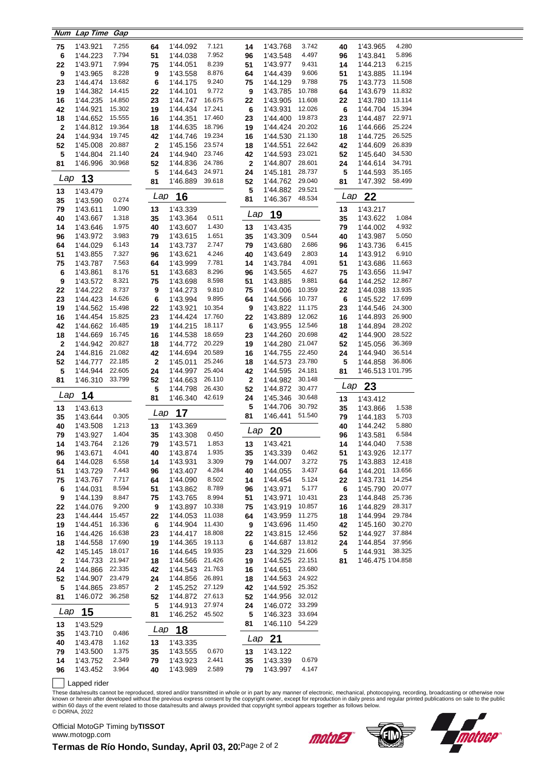|                    | Num Lap Time         | Gap              |             |                      |                  |             |                             |                  |          |                      |                  |
|--------------------|----------------------|------------------|-------------|----------------------|------------------|-------------|-----------------------------|------------------|----------|----------------------|------------------|
| 75                 | 1'43.921             | 7.255            | 64          | 1'44.092             | 7.121            | 14          | 1'43.768                    | 3.742            | 40       | 1'43.965             | 4.280            |
| 6                  | 1'44.223             | 7.794            | 51          | 1'44.038             | 7.952            | 96          | 1'43.548                    | 4.497            | 96       | 1'43.841             | 5.896            |
| 22                 | 1'43.971             | 7.994            | 75          | 1'44.051             | 8.239            | 51          | 1'43.977                    | 9.431            | 14       | 1'44.213             | 6.215            |
| 9                  | 1'43.965             | 8.228            | 9           | 1'43.558             | 8.876            | 64          | 1'44.439                    | 9.606            | 51       | 1'43.885             | 11.194           |
| 23                 | 1'44.474             | 13.682           | 6           | 1'44.175             | 9.240            | 75          | 1'44.129                    | 9.788            | 75       | 1'43.773             | 11.508           |
| 19                 | 1'44.382             | 14.415           | 22          | 1'44.101             | 9.772            | 9           | 1'43.785                    | 10.788           | 64       | 1'43.679             | 11.832           |
| 16                 | 1'44.235             | 14.850           | 23          | 1'44.747             | 16.675           | 22          | 1'43.905                    | 11.608           | 22       | 1'43.780             | 13.114           |
| 42                 | 1'44.921             | 15.302           | 19          | 1'44.434             | 17.241           | $\bf 6$     | 1'43.931                    | 12.026           | 6        | 1'44.704             | 15.394<br>22.971 |
| 18<br>$\mathbf{2}$ | 1'44.652<br>1'44.812 | 15.555<br>19.364 | 16<br>18    | 1'44.351<br>1'44.635 | 17.460<br>18.796 | 23<br>19    | 1'44.400<br>1'44.424        | 19.873<br>20.202 | 23<br>16 | 1'44.487<br>1'44.666 | 25.224           |
| 24                 | 1'44.934             | 19.745           | 42          | 1'44.746             | 19.234           | 16          | 1'44.530                    | 21.130           | 18       | 1'44.725             | 26.525           |
| 52                 | 1'45.008             | 20.887           | $\mathbf 2$ | 1'45.156             | 23.574           | 18          | 1'44.551                    | 22.642           | 42       | 1'44.609             | 26.839           |
| 5                  | 1'44.804             | 21.140           | 24          | 1'44.940             | 23.746           | 42          | 1'44.593                    | 23.021           | 52       | 1'45.640             | 34.530           |
| 81                 | 1'46.996             | 30.968           | 52          | 1'44.836             | 24.786           | $\mathbf 2$ | 1'44.807                    | 28.601           | 24       | 1'44.614             | 34.791           |
|                    |                      |                  | 5           | 1'44.643             | 24.971           | 24          | 1'45.181                    | 28.737           | 5        | 1'44.593             | 35.165           |
| Lap                | 13                   |                  | 81          | 1'46.889             | 39.618           | 52          | 1'44.762                    | 29.040           | 81       | 1'47.392             | 58.499           |
| 13                 | 1'43.479             |                  |             |                      |                  | 5           | 1'44.882                    | 29.521           |          |                      |                  |
| 35                 | 1'43.590             | 0.274            | Lap         | 16                   |                  | 81          | 1'46.367                    | 48.534           | Lap      | 22                   |                  |
| 79                 | 1'43.611             | 1.090            | 13          | 1'43.339             |                  |             |                             |                  | 13       | 1'43.217             |                  |
| 40                 | 1'43.667             | 1.318            | 35          | 1'43.364             | 0.511            | Lap         | 19                          |                  | 35       | 1'43.622             | 1.084            |
| 14                 | 1'43.646             | 1.975            | 40          | 1'43.607             | 1.430            | 13          | 1'43.435                    |                  | 79       | 1'44.002             | 4.932            |
| 96                 | 1'43.972             | 3.983            | 79          | 1'43.615             | 1.651            | 35          | 1'43.309                    | 0.544            | 40       | 1'43.987             | 5.050            |
| 64                 | 1'44.029             | 6.143            | 14          | 1'43.737             | 2.747            | 79          | 1'43.680                    | 2.686            | 96       | 1'43.736             | 6.415            |
| 51                 | 1'43.855             | 7.327            | 96          | 1'43.621             | 4.246            | 40          | 1'43.649                    | 2.803            | 14       | 1'43.912             | 6.910            |
| 75                 | 1'43.787             | 7.563            | 64          | 1'43.999             | 7.781            | 14          | 1'43.784                    | 4.091            | 51       | 1'43.686             | 11.663           |
| 6<br>9             | 1'43.861<br>1'43.572 | 8.176<br>8.321   | 51<br>75    | 1'43.683             | 8.296<br>8.598   | 96<br>51    | 1'43.565<br>1'43.885        | 4.627<br>9.881   | 75<br>64 | 1'43.656<br>1'44.252 | 11.947<br>12.867 |
| 22                 | 1'44.222             | 8.737            | 9           | 1'43.698<br>1'44.273 | 9.810            | 75          | 1'44.006                    | 10.359           | 22       | 1'44.038             | 13.935           |
| 23                 | 1'44.423             | 14.626           | 6           | 1'43.994             | 9.895            | 64          | 1'44.566                    | 10.737           | 6        | 1'45.522             | 17.699           |
| 19                 | 1'44.562             | 15.498           | 22          | 1'43.921             | 10.354           | 9           | 1'43.822                    | 11.175           | 23       | 1'44.546             | 24.300           |
| 16                 | 1'44.454             | 15.825           | 23          | 1'44.424             | 17.760           | 22          | 1'43.889                    | 12.062           | 16       | 1'44.893             | 26.900           |
| 42                 | 1'44.662             | 16.485           | 19          | 1'44.215             | 18.117           | 6           | 1'43.955                    | 12.546           | 18       | 1'44.894             | 28.202           |
| 18                 | 1'44.669             | 16.745           | 16          | 1'44.538             | 18.659           | 23          | 1'44.260                    | 20.698           | 42       | 1'44.900             | 28.522           |
| $\mathbf{2}$       | 1'44.942             | 20.827           | 18          | 1'44.772             | 20.229           | 19          | 1'44.280                    | 21.047           | 52       | 1'45.056             | 36.369           |
| 24                 | 1'44.816             | 21.082           | 42          | 1'44.694             | 20.589           | 16          | 1'44.755                    | 22.450           | 24       | 1'44.940             | 36.514           |
| 52                 | 1'44.777             | 22.185           | $\bf{2}$    | 1'45.011             | 25.246           | 18          | 1'44.573                    | 23.780           | 5        | 1'44.858             | 36.806           |
| 5                  | 1'44.944             | 22.605           | 24          | 1'44.997             | 25.404           | 42          | 1'44.595                    | 24.181           | 81       | 1'46.513 1'01.795    |                  |
| 81                 | 1'46.310             | 33.799           | 52          | 1'44.663             | 26.110           | $\bf{2}$    | 1'44.982                    | 30.148           |          | $Lap$ 23             |                  |
| Lap                | 14                   |                  | 5           | 1'44.798             | 26.430<br>42.619 | 52          | 1'44.872                    | 30.477           |          |                      |                  |
|                    |                      |                  |             |                      |                  | 24          | 1'45.346                    | 30.648           | 13       | 1'43.412             |                  |
| 13                 |                      |                  | 81          | 1'46.340             |                  |             |                             |                  |          |                      |                  |
|                    | 1'43.613             |                  |             |                      |                  | 5           | 1'44.706                    | 30.792           | 35       | 1'43.866             | 1.538            |
| 35                 | 1'43.644             | 0.305            | Lap         | 17                   |                  | 81          | 1'46.441                    | 51.540           | 79       | 1'44.183             | 5.703            |
| 40                 | 1'43.508             | 1.213            | 13          | 1'43.369             |                  | Lap         | 20                          |                  | 40       | 1'44.242             | 5.880            |
| 79                 | 1'43.927             | 1.404            | 35          | 1'43.308             | 0.450            |             |                             |                  | 96       | 1'43.581             | 6.584            |
| 14                 | 1'43.764             | 2.126<br>4.041   | 79          | 1'43.571             | 1.853<br>1.935   | 13          | 1'43.421                    | 0.462            | 14       | 1'44.040             | 7.538<br>12.177  |
| 96<br>64           | 1'43.671<br>1'44.028 | 6.558            | 40<br>14    | 1'43.874<br>1'43.931 | 3.309            | 35<br>79    | 1'43.339<br>1'44.007        | 3.272            | 51<br>75 | 1'43.926<br>1'43.883 | 12.418           |
| 51                 | 1'43.729             | 7.443            | 96          | 1'43.407             | 4.284            | 40          | 1'44.055                    | 3.437            | 64       | 1'44.201             | 13.656           |
| 75                 | 1'43.767             | 7.717            | 64          | 1'44.090             | 8.502            | 14          | 1'44.454                    | 5.124            | 22       | 1'43.731             | 14.254           |
| 6                  | 1'44.031             | 8.594            | 51          | 1'43.862             | 8.789            | 96          | 1'43.971                    | 5.177            | 6        | 1'45.790             | 20.077           |
| 9                  | 1'44.139             | 8.847            | 75          | 1'43.765             | 8.994            | 51          | 1'43.971                    | 10.431           | 23       | 1'44.848             | 25.736           |
| 22                 | 1'44.076             | 9.200            | 9           | 1'43.897             | 10.338           | 75          | 1'43.919                    | 10.857           | 16       | 1'44.829             | 28.317           |
| 23                 | 1'44.444             | 15.457           | 22          | 1'44.053             | 11.038           | 64          | 1'43.959                    | 11.275           | 18       | 1'44.994             | 29.784           |
| 19                 | 1'44.451             | 16.336           | 6           | 1'44.904             | 11.430           | 9           | 1'43.696                    | 11.450           | 42       | 1'45.160             | 30.270           |
| 16                 | 1'44.426             | 16.638           | 23          | 1'44.417             | 18.808           | 22          | 1'43.815                    | 12.456           | 52       | 1'44.927             | 37.884           |
| 18                 | 1'44.558             | 17.690           | 19          | 1'44.365             | 19.113           | 6           | 1'44.687                    | 13.812           | 24       | 1'44.854             | 37.956           |
| 42                 | 1'45.145             | 18.017           | 16          | 1'44.645             | 19.935           | 23          | 1'44.329                    | 21.606           | 5        | 1'44.931             | 38.325           |
| $\mathbf{2}$       | 1'44.733             | 21.947           | 18          | 1'44.566             | 21.426           | 19          | 1'44.525                    | 22.151           | 81       | 1'46.475 1'04.858    |                  |
| 24                 | 1'44.866             | 22.335           | 42          | 1'44.543             | 21.763           | 16          | 1'44.651                    | 23.680           |          |                      |                  |
| 52                 | 1'44.907             | 23.479<br>23.857 | 24          | 1'44.856             | 26.891<br>27.129 | 18          | 1'44.563<br>1'44.592 25.352 | 24.922           |          |                      |                  |
| 5<br>81            | 1'44.865<br>1'46.072 | 36.258           | 2<br>52     | 1'45.252<br>1'44.872 | 27.613           | 42<br>52    | 1'44.956                    | 32.012           |          |                      |                  |
|                    |                      |                  | 5           | 1'44.913             | 27.974           | 24          | 1'46.072 33.299             |                  |          |                      |                  |
| Lap                | 15                   |                  | 81          | 1'46.252             | 45.502           | 5           | 1'46.323                    | 33.694           |          |                      |                  |
| 13                 | 1'43.529             |                  |             |                      |                  | 81          | 1'46.110                    | 54.229           |          |                      |                  |
| 35                 | 1'43.710             | 0.486            | Lap         | 18                   |                  |             |                             |                  |          |                      |                  |
| 40                 | 1'43.478             | 1.162            | 13          | 1'43.335             |                  |             | $Lap$ 21                    |                  |          |                      |                  |
| 79                 | 1'43.500             | 1.375            | 35          | 1'43.555             | 0.670            | 13          | 1'43.122                    |                  |          |                      |                  |
| 14<br>96           | 1'43.752<br>1'43.452 | 2.349<br>3.964   | 79<br>40    | 1'43.923<br>1'43.989 | 2.441<br>2.589   | 35<br>79    | 1'43.339<br>1'43.997        | 0.679<br>4.147   |          |                      |                  |

Lapped rider

These data/results cannot be reproduced, stored and/or transmitted in whole or in part by any manner of electronic, mechanical, photocopying, recording, broadcasting or otherwise now<br>known or herein after developed without

Official MotoGP Timing by **TISSOT**www.motogp.com





Termas de Río Hondo, Sunday, April 03, 20<sup>'Page 2 of 2</sup>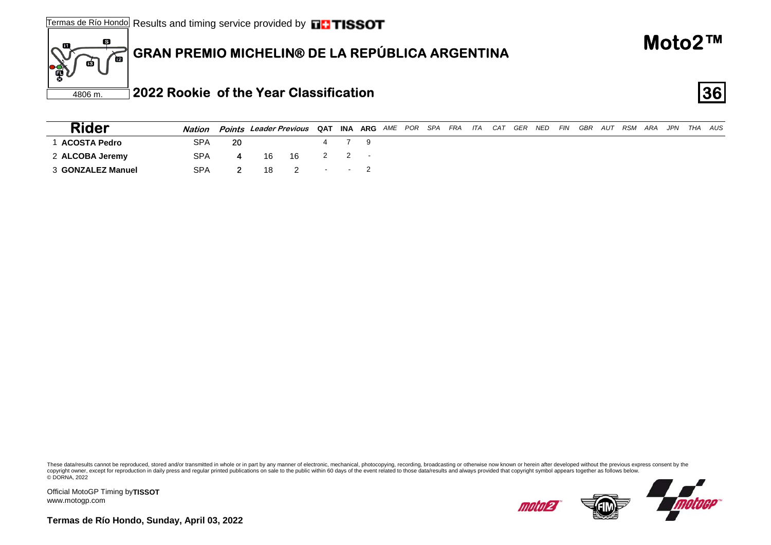#### 6 **GRAN PREMIO MICHELIN® DE LA REPÚBLICA ARGENTINA** 価 ПŚ

| <b>Rider</b>      | <b>Nation</b> |    | Points Leader Previous QAT INA ARG AME POR SPA FRA ITA |         |       |    |  |  |  | CAT GER | NED | <b>FIN</b> | GBR | AUT RSM | ARA | JPN THA | AUS |
|-------------------|---------------|----|--------------------------------------------------------|---------|-------|----|--|--|--|---------|-----|------------|-----|---------|-----|---------|-----|
| 1 ACOSTA Pedro    | <b>SPA</b>    | 20 |                                                        |         |       | 79 |  |  |  |         |     |            |     |         |     |         |     |
| 2 ALCOBA Jeremy   | <b>SPA</b>    |    | 16                                                     | 16      | 2 2 - |    |  |  |  |         |     |            |     |         |     |         |     |
| 3 GONZALEZ Manuel | <b>SPA</b>    |    | 18                                                     | 2 - - 2 |       |    |  |  |  |         |     |            |     |         |     |         |     |

These data/results cannot be reproduced, stored and/or transmitted in whole or in part by any manner of electronic, mechanical, photocopying, recording, broadcasting or otherwise now known or herein after developed without copyright owner, except for reproduction in daily press and regular printed publications on sale to the public within 60 days of the event related to those data/results and always provided that copyright symbol appears tog

Official MotoGP Timing by **TISSOT**www.motogp.com

60



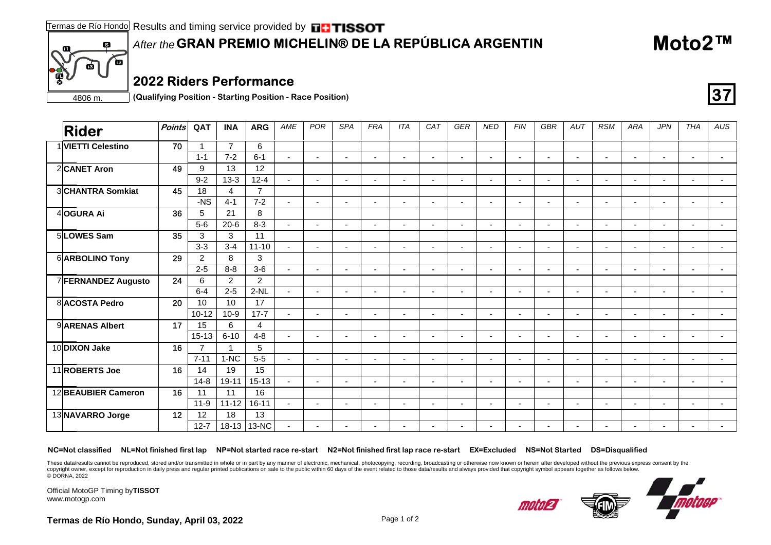### **GRAN PREMIO MICHELIN® DE LA REPÚBLICA ARGENTIN** *After the*

#### **2022 Riders Performance**

4806 m. **(Qualifying Position - Starting Position - Race Position)**

| <b>Rider</b>        | Points | QAT            | <b>INA</b>     | <b>ARG</b>     | AME            | POR                      | <b>SPA</b>               | <b>FRA</b>               | <b>ITA</b>               | CAT                      | <b>GER</b>               | <b>NED</b>               | <b>FIN</b>               | GBR                      | AUT                      | <b>RSM</b>               | <b>ARA</b>               | <b>JPN</b>     | THA            | AUS                      |
|---------------------|--------|----------------|----------------|----------------|----------------|--------------------------|--------------------------|--------------------------|--------------------------|--------------------------|--------------------------|--------------------------|--------------------------|--------------------------|--------------------------|--------------------------|--------------------------|----------------|----------------|--------------------------|
| 1 VIETTI Celestino  | 70     |                | $\overline{7}$ | 6              |                |                          |                          |                          |                          |                          |                          |                          |                          |                          |                          |                          |                          |                |                |                          |
|                     |        | $1 - 1$        | $7 - 2$        | $6 - 1$        | $\sim$         | $\blacksquare$           | $\blacksquare$           | $\overline{\phantom{a}}$ | $\blacksquare$           | $\sim$                   | $\blacksquare$           | $\blacksquare$           | $\blacksquare$           | $\overline{\phantom{a}}$ | $\blacksquare$           | $\blacksquare$           | $\overline{\phantom{a}}$ | ٠              | $\blacksquare$ | $\blacksquare$           |
| 2CANET Aron         | 49     | 9              | 13             | 12             |                |                          |                          |                          |                          |                          |                          |                          |                          |                          |                          |                          |                          |                |                |                          |
|                     |        | $9 - 2$        | $13-3$         | $12 - 4$       | $\mathbf{r}$   | $\overline{a}$           | ٠                        | $\overline{\phantom{a}}$ | $\blacksquare$           | $\overline{\phantom{0}}$ | $\blacksquare$           | $\overline{\phantom{a}}$ | $\overline{\phantom{a}}$ | $\blacksquare$           | $\blacksquare$           | $\blacksquare$           |                          | ٠              | $\blacksquare$ | $\blacksquare$           |
| 3CHANTRA Somkiat    | 45     | 18             | $\overline{4}$ | $\overline{7}$ |                |                          |                          |                          |                          |                          |                          |                          |                          |                          |                          |                          |                          |                |                |                          |
|                     |        | $-NS$          | $4 - 1$        | $7 - 2$        | $\sim$         | $\overline{a}$           | $\blacksquare$           | $\blacksquare$           | $\overline{\phantom{a}}$ | $\sim$                   | $\blacksquare$           | $\sim$                   | $\blacksquare$           | $\blacksquare$           | $\blacksquare$           | $\overline{\phantom{a}}$ | $\overline{\phantom{a}}$ | $\blacksquare$ | $\sim$         | $\overline{\phantom{a}}$ |
| 4OGURA Ai           | 36     | 5              | 21             | 8              |                |                          |                          |                          |                          |                          |                          |                          |                          |                          |                          |                          |                          |                |                |                          |
|                     |        | $5-6$          | $20 - 6$       | $8 - 3$        | $\blacksquare$ |                          | ٠                        |                          | $\overline{\phantom{a}}$ |                          |                          |                          |                          |                          |                          |                          |                          |                |                |                          |
| 5 LOWES Sam         | 35     | 3              | 3              | 11             |                |                          |                          |                          |                          |                          |                          |                          |                          |                          |                          |                          |                          |                |                |                          |
|                     |        | $3 - 3$        | $3 - 4$        | $11 - 10$      | $\sim$         | $\blacksquare$           | ۰                        | ٠                        | $\blacksquare$           |                          | $\blacksquare$           | $\overline{\phantom{a}}$ | ٠                        | $\overline{\phantom{a}}$ |                          | $\blacksquare$           | $\overline{\phantom{a}}$ | $\blacksquare$ | $\sim$         | $\sim$                   |
| 6 ARBOLINO Tony     | 29     | 2              | 8              | 3              |                |                          |                          |                          |                          |                          |                          |                          |                          |                          |                          |                          |                          |                |                |                          |
|                     |        | $2 - 5$        | $8 - 8$        | $3-6$          | $\sim$         | $\blacksquare$           | $\overline{\phantom{a}}$ |                          | $\overline{\phantom{a}}$ |                          | ÷                        | $\sim$                   | $\overline{a}$           | $\blacksquare$           | $\overline{a}$           | $\blacksquare$           |                          |                |                | $\blacksquare$           |
| 7 FERNANDEZ Augusto | 24     | 6              | $\overline{2}$ | $\overline{2}$ |                |                          |                          |                          |                          |                          |                          |                          |                          |                          |                          |                          |                          |                |                |                          |
|                     |        | $6 - 4$        | $2 - 5$        | $2-NL$         | $\sim$         | $\overline{\phantom{a}}$ | $\overline{\phantom{a}}$ | ٠                        | $\overline{\phantom{a}}$ | $\overline{\phantom{a}}$ | $\blacksquare$           | $\overline{\phantom{a}}$ | $\blacksquare$           | $\sim$                   | $\overline{\phantom{a}}$ | $\blacksquare$           | $\blacksquare$           | $\blacksquare$ | $\blacksquare$ | $\blacksquare$           |
| 8 ACOSTA Pedro      | 20     | 10             | 10             | 17             |                |                          |                          |                          |                          |                          |                          |                          |                          |                          |                          |                          |                          |                |                |                          |
|                     |        | $10 - 12$      | $10-9$         | $17 - 7$       | $\sim$         | $\overline{a}$           | $\overline{\phantom{a}}$ | $\overline{\phantom{a}}$ | $\overline{\phantom{a}}$ |                          | $\blacksquare$           | $\overline{a}$           | $\blacksquare$           | $\overline{\phantom{0}}$ | $\blacksquare$           | $\overline{\phantom{0}}$ |                          | $\blacksquare$ |                |                          |
| 9 ARENAS Albert     | 17     | 15             | 6              | 4              |                |                          |                          |                          |                          |                          |                          |                          |                          |                          |                          |                          |                          |                |                |                          |
|                     |        | $15 - 13$      | $6 - 10$       | $4 - 8$        | $\overline{a}$ | $\overline{a}$           | ÷                        | $\overline{\phantom{a}}$ | $\blacksquare$           | $\overline{a}$           | $\blacksquare$           | $\overline{\phantom{a}}$ | $\blacksquare$           | $\blacksquare$           | $\blacksquare$           | $\sim$                   | $\overline{a}$           | $\blacksquare$ | $\sim$         | $\blacksquare$           |
| 10 DIXON Jake       | 16     | $\overline{7}$ |                | 5              |                |                          |                          |                          |                          |                          |                          |                          |                          |                          |                          |                          |                          |                |                |                          |
|                     |        | $7 - 11$       | $1-NC$         | $5-5$          | $\sim$         | $\overline{a}$           | $\blacksquare$           | $\blacksquare$           | $\overline{\phantom{a}}$ | $\sim$                   | $\sim$                   | $\sim$                   | $\blacksquare$           | $\blacksquare$           | $\blacksquare$           | $\overline{\phantom{a}}$ | $\blacksquare$           | ٠              | $\sim$         | $\overline{\phantom{a}}$ |
| 11 ROBERTS Joe      | 16     | 14             | 19             | 15             |                |                          |                          |                          |                          |                          |                          |                          |                          |                          |                          |                          |                          |                |                |                          |
|                     |        | $14 - 8$       | $19 - 11$      | $15 - 13$      | $\sim$         |                          | ٠                        |                          |                          |                          | $\overline{\phantom{0}}$ |                          |                          |                          |                          |                          |                          |                |                |                          |
| 12 BEAUBIER Cameron | 16     | 11             | 11             | 16             |                |                          |                          |                          |                          |                          |                          |                          |                          |                          |                          |                          |                          |                |                |                          |
|                     |        | $11 - 9$       | $11 - 12$      | $16 - 11$      | $\sim$         | $\blacksquare$           | ÷                        | $\overline{\phantom{a}}$ | $\overline{\phantom{a}}$ |                          | $\overline{\phantom{0}}$ | $\overline{\phantom{a}}$ | $\blacksquare$           | $\blacksquare$           | $\blacksquare$           | $\overline{\phantom{a}}$ | $\overline{\phantom{0}}$ | $\blacksquare$ | $\sim$         | $\overline{\phantom{a}}$ |
| 13NAVARRO Jorge     | 12     | 12             | 18             | 13             |                |                          |                          |                          |                          |                          |                          |                          |                          |                          |                          |                          |                          |                |                |                          |
|                     |        | $12 - 7$       | $18 - 13$      | 13-NC          | $\sim$         | $\sim$                   | $\blacksquare$           | $\overline{\phantom{a}}$ | $\overline{\phantom{a}}$ | $\sim$                   | $\blacksquare$           | $\overline{\phantom{a}}$ | $\overline{\phantom{a}}$ | $\sim$                   | $\blacksquare$           | $\overline{\phantom{a}}$ | $\overline{a}$           | $\sim$         | $\sim$         |                          |

#### **NC=Not classified NL=Not finished first lap NP=Not started race re-start N2=Not finished first lap race re-start EX=Excluded NS=Not Started DS=Disqualified**

These data/results cannot be reproduced, stored and/or transmitted in whole or in part by any manner of electronic, mechanical, photocopying, recording, broadcasting or otherwise now known or herein after developed without copyright owner, except for reproduction in daily press and regular printed publications on sale to the public within 60 days of the event related to those data/results and always provided that copyright symbol appears tog © DORNA, 2022

Official MotoGP Timing by **TISSOT**www.motogp.com

6

è

m



**Moto2™**

**37**

**Termas de Río Hondo, Sunday, April 03, 2022** Page 1 of 2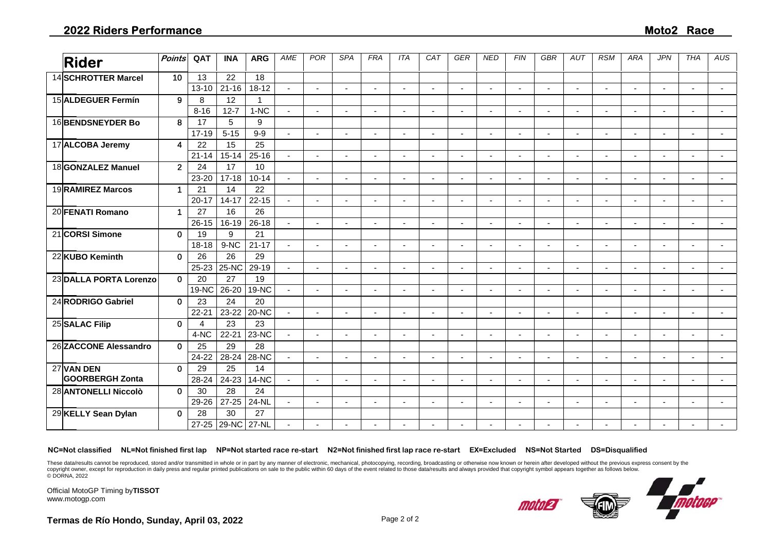| <b>Rider</b>                         | <b>Points</b>        | QAT                    | <b>INA</b>      | <b>ARG</b>         | AME            | <b>POR</b>               | <b>SPA</b>               | <b>FRA</b>               | <b>ITA</b>               | CAT                      | <b>GER</b>               | <b>NED</b>               | <b>FIN</b>     | <b>GBR</b>               | AUT                      | <b>RSM</b>               | <b>ARA</b>               | <b>JPN</b>               | <b>THA</b> | AUS                      |
|--------------------------------------|----------------------|------------------------|-----------------|--------------------|----------------|--------------------------|--------------------------|--------------------------|--------------------------|--------------------------|--------------------------|--------------------------|----------------|--------------------------|--------------------------|--------------------------|--------------------------|--------------------------|------------|--------------------------|
| 14 SCHROTTER Marcel                  | 10                   | 13<br>$13 - 10$        | 22<br>$21 - 16$ | 18<br>$18 - 12$    | $\blacksquare$ | $\blacksquare$           | ٠                        | $\overline{\phantom{a}}$ | $\overline{\phantom{a}}$ |                          | $\blacksquare$           |                          | $\blacksquare$ | $\overline{\phantom{a}}$ | $\blacksquare$           | $\blacksquare$           | $\blacksquare$           | $\blacksquare$           | $\sim$     | $\blacksquare$           |
| 15 ALDEGUER Fermín                   | 9                    | 8                      | 12              | 1                  |                |                          |                          |                          |                          |                          |                          |                          |                |                          |                          |                          |                          |                          |            |                          |
|                                      |                      | $8 - 16$               | $12 - 7$        | $1-NC$             | $\sim$         | $\overline{a}$           | $\blacksquare$           | $\blacksquare$           | $\blacksquare$           | $\sim$                   | $\blacksquare$           | $\sim$                   | $\overline{a}$ | $\sim$                   | $\blacksquare$           | $\overline{\phantom{a}}$ | $\blacksquare$           |                          |            |                          |
| 16BENDSNEYDER Bo                     | 8                    | 17                     | 5               | 9                  |                |                          |                          |                          |                          |                          |                          |                          |                |                          |                          |                          |                          |                          |            |                          |
|                                      |                      | $17 - 19$              | $5 - 15$        | $9 - 9$            | $\sim$         | $\blacksquare$           | $\blacksquare$           | $\overline{\phantom{a}}$ | $\blacksquare$           |                          | $\overline{\phantom{a}}$ |                          | $\overline{a}$ | $\blacksquare$           | $\blacksquare$           | $\blacksquare$           |                          | $\blacksquare$           |            |                          |
| 17 ALCOBA Jeremy                     | 4                    | 22                     | 15              | 25                 |                |                          |                          |                          |                          |                          |                          |                          |                |                          |                          |                          |                          |                          |            |                          |
|                                      |                      | $21 - 14$              | $15 - 14$       | $25 - 16$          | $\blacksquare$ | ÷,                       | $\blacksquare$           | $\overline{\phantom{a}}$ | $\blacksquare$           |                          | $\overline{\phantom{a}}$ |                          | ÷,             | $\sim$                   |                          | $\blacksquare$           | $\blacksquare$           | $\sim$                   | $\sim$     |                          |
| 18GONZALEZ Manuel                    | $\overline{2}$       | 24                     | 17              | 10                 |                |                          |                          |                          |                          |                          |                          |                          |                |                          |                          |                          |                          |                          |            |                          |
|                                      |                      | 23-20                  | $17 - 18$       | $10 - 14$          | $\mathbf{r}$   | ÷                        | $\overline{\phantom{a}}$ |                          | $\overline{\phantom{a}}$ |                          |                          |                          |                |                          |                          |                          |                          |                          |            |                          |
| 19RAMIREZ Marcos                     | 1                    | 21                     | 14              | 22                 |                |                          |                          |                          |                          |                          |                          |                          |                |                          |                          |                          |                          |                          |            |                          |
|                                      |                      | $20 - 17$              | $14 - 17$       | $22 - 15$          | $\sim$         | $\overline{a}$           | $\overline{a}$           |                          | $\overline{\phantom{a}}$ |                          | $\overline{a}$           | $\overline{\phantom{a}}$ | $\overline{a}$ | $\sim$                   |                          | $\overline{\phantom{a}}$ | $\sim$                   | $\overline{a}$           |            |                          |
| 20 FENATI Romano                     | $\blacktriangleleft$ | 27                     | 16              | 26                 |                |                          |                          |                          |                          |                          |                          |                          |                |                          |                          |                          |                          |                          |            |                          |
|                                      |                      | $26 - 15$              | 16-19           | $26 - 18$          | $\sim$         | $\sim$                   | $\blacksquare$           | $\overline{\phantom{a}}$ | $\blacksquare$           | $\overline{\phantom{a}}$ | $\overline{\phantom{a}}$ |                          | $\sim$         | $\sim$                   | ÷,                       | $\overline{\phantom{a}}$ | $\overline{\phantom{a}}$ | $\blacksquare$           |            |                          |
| 21 CORSI Simone                      | $\mathbf 0$          | 19                     | 9               | 21                 |                |                          |                          |                          |                          |                          |                          |                          |                |                          |                          |                          |                          |                          |            |                          |
|                                      |                      | $18 - 18$              | 9-NC            | $21 - 17$          | $\sim$         | $\overline{\phantom{a}}$ | $\overline{\phantom{a}}$ | $\blacksquare$           | $\overline{\phantom{a}}$ | $\sim$                   | $\overline{\phantom{a}}$ | $\overline{\phantom{a}}$ | $\blacksquare$ | $\blacksquare$           | ٠                        | $\blacksquare$           | $\blacksquare$           | $\overline{\phantom{a}}$ | $\sim$     | $\overline{\phantom{a}}$ |
| 22 KUBO Keminth                      | $\mathbf 0$          | 26                     | 26              | 29                 |                |                          |                          |                          |                          |                          |                          |                          |                |                          |                          |                          |                          |                          |            |                          |
|                                      |                      | 25-23                  | 25-NC           | 29-19              | $\blacksquare$ | $\blacksquare$           | $\blacksquare$           | $\overline{\phantom{a}}$ | $\overline{\phantom{a}}$ |                          | $\blacksquare$           |                          | $\blacksquare$ | $\blacksquare$           | $\blacksquare$           | $\blacksquare$           | $\blacksquare$           | $\blacksquare$           |            |                          |
| 23 DALLA PORTA Lorenzo               | $\mathbf 0$          | 20                     | 27              | 19                 |                |                          |                          |                          |                          |                          |                          |                          |                |                          |                          |                          |                          |                          |            |                          |
|                                      |                      | 19-NC                  | 26-20           | <b>19-NC</b>       | $\sim$         | $\sim$                   | $\overline{\phantom{a}}$ | $\overline{\phantom{a}}$ | $\blacksquare$           |                          | $\blacksquare$           |                          | ÷              | $\sim$                   | $\overline{\phantom{a}}$ |                          |                          | $\overline{\phantom{a}}$ | $\sim$     |                          |
| 24 RODRIGO Gabriel                   | $\mathbf{0}$         | 23                     | 24              | 20                 |                |                          |                          |                          |                          |                          |                          |                          |                |                          |                          |                          |                          |                          |            |                          |
|                                      |                      | $22 - 21$              | 23-22           | 20-NC              | $\mathbf{r}$   | $\blacksquare$           | $\blacksquare$           | $\overline{a}$           | $\overline{\phantom{a}}$ |                          | $\overline{\phantom{a}}$ | $\sim$                   | $\blacksquare$ | $\blacksquare$           | $\blacksquare$           | $\blacksquare$           | $\blacksquare$           | $\blacksquare$           |            |                          |
| 25 SALAC Filip                       | $\mathbf{0}$         | $\boldsymbol{\Lambda}$ | 23              | 23                 |                |                          |                          |                          |                          |                          |                          |                          |                |                          |                          |                          |                          |                          |            |                          |
|                                      |                      | 4-NC                   | $22 - 21$       | 23-NC              | $\sim$         |                          | $\blacksquare$           | $\overline{\phantom{a}}$ | $\overline{\phantom{a}}$ |                          | ÷,                       |                          |                | $\blacksquare$           | ÷,                       |                          |                          |                          |            |                          |
| 26 ZACCONE Alessandro                | $\mathbf{0}$         | 25                     | 29              | 28                 |                |                          |                          |                          |                          |                          |                          |                          |                |                          |                          |                          |                          |                          |            |                          |
|                                      |                      | $24 - 22$              | 28-24           | <b>28-NC</b>       | $\sim$         | ÷,                       | ä,                       |                          | $\blacksquare$           |                          | $\overline{a}$           |                          | ÷,             |                          |                          | $\blacksquare$           |                          | $\overline{a}$           |            | $\blacksquare$           |
| 27 VAN DEN<br><b>GOORBERGH Zonta</b> | $\mathbf{0}$         | 29<br>28-24            | 25<br>24-23     | 14                 | $\sim$         |                          | ٠                        |                          |                          |                          | $\overline{a}$           |                          |                |                          |                          |                          |                          |                          |            |                          |
| 28 ANTONELLI Niccolò                 | $\mathbf 0$          | 30                     | 28              | <b>14-NC</b><br>24 |                | $\sim$                   |                          | $\overline{\phantom{a}}$ | $\sim$                   |                          |                          |                          | $\sim$         | $\sim$                   | $\overline{a}$           | $\sim$                   | $\sim$                   | $\overline{a}$           |            |                          |
|                                      |                      | 29-26                  | $27 - 25$       | 24-NL              | $\blacksquare$ | $\sim$                   | $\overline{\phantom{a}}$ | $\overline{\phantom{a}}$ | $\sim$                   | $\sim$                   | $\overline{a}$           | $\sim$                   | $\sim$         | $\blacksquare$           | ÷,                       | $\overline{\phantom{a}}$ | $\sim$                   | $\blacksquare$           |            | $\blacksquare$           |
| 29 KELLY Sean Dylan                  | $\mathbf{0}$         | 28                     | 30              | 27                 |                |                          |                          |                          |                          |                          |                          |                          |                |                          |                          |                          |                          |                          |            |                          |
|                                      |                      | $27 - 25$              | 29-NC           | 27-NL              |                |                          | $\blacksquare$           | $\overline{\phantom{a}}$ | $\overline{\phantom{a}}$ |                          |                          |                          |                |                          |                          | $\blacksquare$           | $\overline{\phantom{a}}$ |                          |            |                          |

**NC=Not classified NL=Not finished first lap NP=Not started race re-start N2=Not finished first lap race re-start EX=Excluded NS=Not Started DS=Disqualified**

These data/results cannot be reproduced, stored and/or transmitted in whole or in part by any manner of electronic, mechanical, photocopying, recording, broadcasting or otherwise now known or herein after developed without copyright owner, except for reproduction in daily press and regular printed publications on sale to the public within 60 days of the event related to those data/results and always provided that copyright symbol appears tog

Official MotoGP Timing by **TISSOT**www.motogp.com

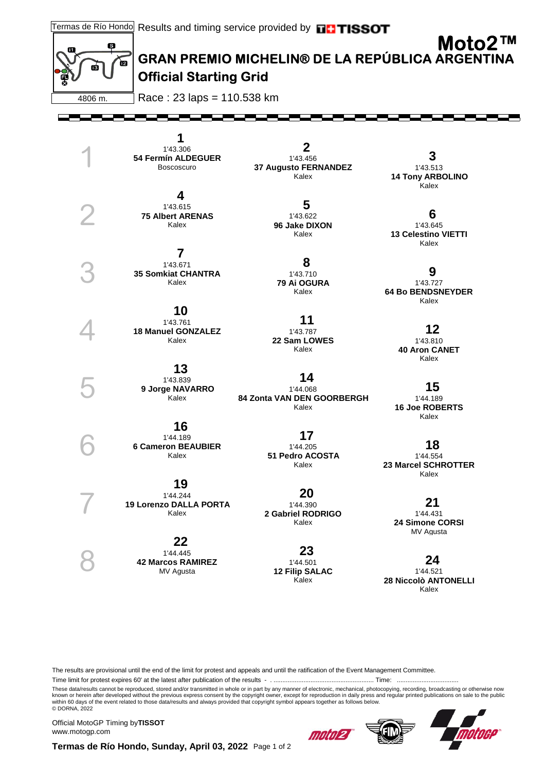



# **Official Starting Grid**

4806 m.

1

2

3

4

5

6

7

8

Race : 23 laps = 110.538 km

F

 **1**  1'43.306 **54 Fermín ALDEGUER** Boscoscuro

 **4**  1'43.615 **75 Albert ARENAS** Kalex

 **7**  1'43.671 **35 Somkiat CHANTRA** Kalex

 **10**  1'43.761 **18 Manuel GONZALEZ** Kalex

 **13**  1'43.839 **9 Jorge NAVARRO** Kalex

 **16** 

1'44.189 **6 Cameron BEAUBIER** Kalex

 **19**  1'44.244 **19 Lorenzo DALLA PORTA** Kalex

 **22**  1'44.445 **42 Marcos RAMIREZ** MV Agusta

 **2**  1'43.456 **37 Augusto FERNANDEZ** Kalex

> **5**  1'43.622 **96 Jake DIXON** Kalex

 **8**  1'43.710 **79 Ai OGURA** Kalex

 **11**  1'43.787 **22 Sam LOWES** Kalex

 **14**  1'44.068 **84 Zonta VAN DEN GOORBERGH** Kalex

> **17**  1'44.205 **51 Pedro ACOSTA** Kalex

 **20**  1'44.390 **2 Gabriel RODRIGO** Kalex

> **23**  1'44.501 **12 Filip SALAC** Kalex

 **3**  1'43.513 **14 Tony ARBOLINO** Kalex

 **6**  1'43.645 **13 Celestino VIETTI** Kalex

 **9**  1'43.727 **64 Bo BENDSNEYDER** Kalex

> **12**  1'43.810 **40 Aron CANET** Kalex

 **15**  1'44.189 **16 Joe ROBERTS** Kalex

 **18**  1'44.554 **23 Marcel SCHROTTER** Kalex

> **21**  1'44.431 **24 Simone CORSI** MV Agusta

 **24**  1'44.521 **28 Niccolò ANTONELLI** Kalex

The results are provisional until the end of the limit for protest and appeals and until the ratification of the Event Management Committee.

Time limit for protest expires 60' at the latest after publication of the results - . ......................................................... Time: ...................................

These data/results cannot be reproduced, stored and/or transmitted in whole or in part by any manner of electronic, mechanical, photocopying, recording, broadcasting or otherwise now<br>known or herein after developed without © DORNA, 2022

Official MotoGP Timing by **TISSOT**www.motogp.com

motol21



**Termas de Río Hondo, Sunday, April 03, 2022** Page 1 of 2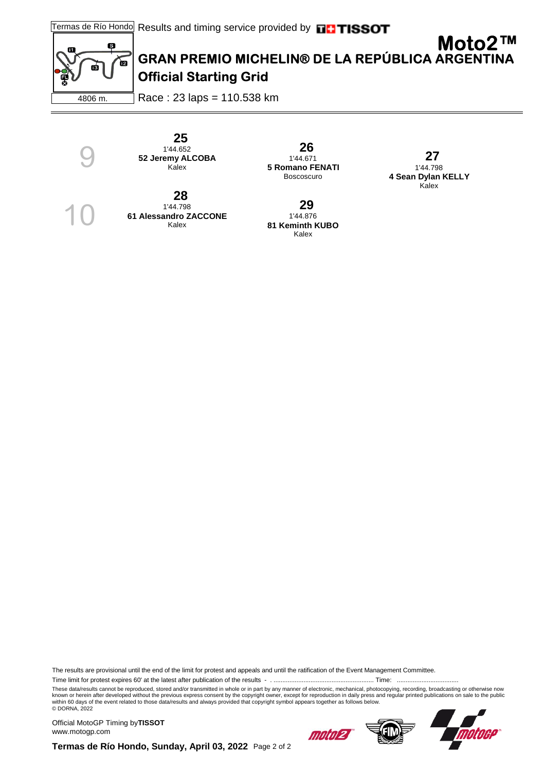

9

10

### **GRAN PREMIO MICHELIN® DE LA REPÚBLICA ARGENTINA Moto2™ Official Starting Grid**

4806 m. Race : 23 laps = 110.538 km

> **25**  1'44.652 **52 Jeremy ALCOBA** Kalex

 **28**  1'44.798

**61 Alessandro ZACCONE** Kalex

 **26**  1'44.671 **5 Romano FENATI** Boscoscuro

1'44.876 **81 Keminth KUBO** Kalex

 **29** 

 **27**  1'44.798 **4 Sean Dylan KELLY** Kalex

The results are provisional until the end of the limit for protest and appeals and until the ratification of the Event Management Committee.

Time limit for protest expires 60' at the latest after publication of the results - . ......................................................... Time: ...................................

These data/results cannot be reproduced, stored and/or transmitted in whole or in part by any manner of electronic, mechanical, photocopying, recording, broadcasting or otherwise now<br>known or herein after developed without © DORNA, 2022

Official MotoGP Timing by **TISSOT**www.motogp.com





**Termas de Río Hondo, Sunday, April 03, 2022** Page 2 of 2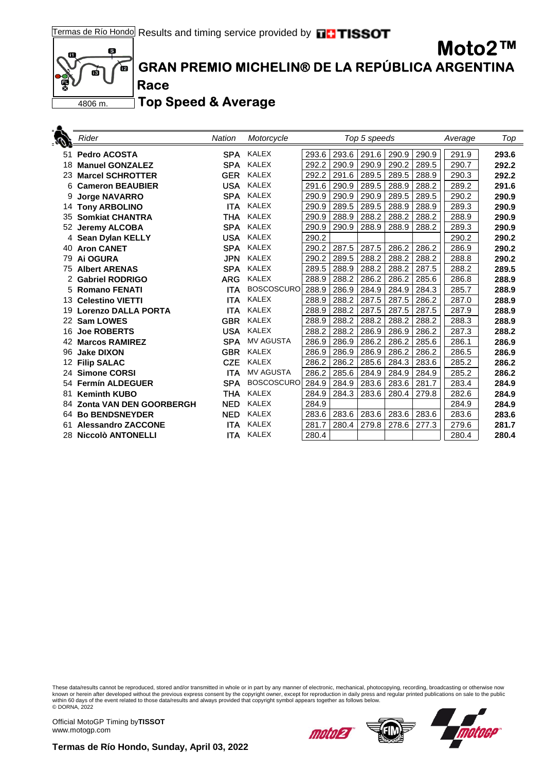

. .

## **GRAN PREMIO MICHELIN® DE LA REPÚBLICA ARGENTINA**

**Top Speed & Average**

**Race**

| W,              | Rider                      | <b>Nation</b> | Motorcycle        |       |       | Top 5 speeds |       | Average | Top   |       |
|-----------------|----------------------------|---------------|-------------------|-------|-------|--------------|-------|---------|-------|-------|
| 51              | <b>Pedro ACOSTA</b>        | <b>SPA</b>    | <b>KALEX</b>      | 293.6 | 293.6 | 291.6        | 290.9 | 290.9   | 291.9 | 293.6 |
| 18              | <b>Manuel GONZALEZ</b>     | <b>SPA</b>    | <b>KALEX</b>      | 292.2 | 290.9 | 290.9        | 290.2 | 289.5   | 290.7 | 292.2 |
| 23              | <b>Marcel SCHROTTER</b>    | <b>GER</b>    | <b>KALEX</b>      | 292.2 | 291.6 | 289.5        | 289.5 | 288.9   | 290.3 | 292.2 |
| 6               | <b>Cameron BEAUBIER</b>    | <b>USA</b>    | KALEX             | 291.6 | 290.9 | 289.5        | 288.9 | 288.2   | 289.2 | 291.6 |
|                 | <b>Jorge NAVARRO</b>       | <b>SPA</b>    | <b>KALEX</b>      | 290.9 | 290.9 | 290.9        | 289.5 | 289.5   | 290.2 | 290.9 |
|                 | 14 Tony ARBOLINO           | <b>ITA</b>    | <b>KALEX</b>      | 290.9 | 289.5 | 289.5        | 288.9 | 288.9   | 289.3 | 290.9 |
| 35              | <b>Somkiat CHANTRA</b>     | <b>THA</b>    | <b>KALEX</b>      | 290.9 | 288.9 | 288.2        | 288.2 | 288.2   | 288.9 | 290.9 |
|                 | 52 Jeremy ALCOBA           | <b>SPA</b>    | <b>KALEX</b>      | 290.9 | 290.9 | 288.9        | 288.9 | 288.2   | 289.3 | 290.9 |
|                 | 4 Sean Dylan KELLY         | <b>USA</b>    | <b>KALEX</b>      | 290.2 |       |              |       |         | 290.2 | 290.2 |
|                 | 40 Aron CANET              | <b>SPA</b>    | <b>KALEX</b>      | 290.2 | 287.5 | 287.5        | 286.2 | 286.2   | 286.9 | 290.2 |
| 79              | Ai OGURA                   | <b>JPN</b>    | <b>KALEX</b>      | 290.2 | 289.5 | 288.2        | 288.2 | 288.2   | 288.8 | 290.2 |
| 75              | <b>Albert ARENAS</b>       | <b>SPA</b>    | <b>KALEX</b>      | 289.5 | 288.9 | 288.2        | 288.2 | 287.5   | 288.2 | 289.5 |
|                 | 2 Gabriel RODRIGO          | <b>ARG</b>    | <b>KALEX</b>      | 288.9 | 288.2 | 286.2        | 286.2 | 285.6   | 286.8 | 288.9 |
|                 | 5 Romano FENATI            | <b>ITA</b>    | <b>BOSCOSCURO</b> | 288.9 | 286.9 | 284.9        | 284.9 | 284.3   | 285.7 | 288.9 |
|                 | 13 Celestino VIETTI        | <b>ITA</b>    | <b>KALEX</b>      | 288.9 | 288.2 | 287.5        | 287.5 | 286.2   | 287.0 | 288.9 |
|                 | 19 Lorenzo DALLA PORTA     | <b>ITA</b>    | <b>KALEX</b>      | 288.9 | 288.2 | 287.5        | 287.5 | 287.5   | 287.9 | 288.9 |
|                 | 22 Sam LOWES               | <b>GBR</b>    | <b>KALEX</b>      | 288.9 | 288.2 | 288.2        | 288.2 | 288.2   | 288.3 | 288.9 |
| 16              | <b>Joe ROBERTS</b>         | <b>USA</b>    | <b>KALEX</b>      | 288.2 | 288.2 | 286.9        | 286.9 | 286.2   | 287.3 | 288.2 |
| 42              | <b>Marcos RAMIREZ</b>      | <b>SPA</b>    | <b>MV AGUSTA</b>  | 286.9 | 286.9 | 286.2        | 286.2 | 285.6   | 286.1 | 286.9 |
| 96              | <b>Jake DIXON</b>          | <b>GBR</b>    | <b>KALEX</b>      | 286.9 | 286.9 | 286.9        | 286.2 | 286.2   | 286.5 | 286.9 |
| 12 <sup>2</sup> | <b>Filip SALAC</b>         | <b>CZE</b>    | <b>KALEX</b>      | 286.2 | 286.2 | 285.6        | 284.3 | 283.6   | 285.2 | 286.2 |
|                 | 24 Simone CORSI            | <b>ITA</b>    | <b>MV AGUSTA</b>  | 286.2 | 285.6 | 284.9        | 284.9 | 284.9   | 285.2 | 286.2 |
|                 | 54 Fermín ALDEGUER         | <b>SPA</b>    | <b>BOSCOSCURO</b> | 284.9 | 284.9 | 283.6        | 283.6 | 281.7   | 283.4 | 284.9 |
| 81              | <b>Keminth KUBO</b>        | <b>THA</b>    | <b>KALEX</b>      | 284.9 | 284.3 | 283.6        | 280.4 | 279.8   | 282.6 | 284.9 |
|                 | 84 Zonta VAN DEN GOORBERGH | <b>NED</b>    | <b>KALEX</b>      | 284.9 |       |              |       |         | 284.9 | 284.9 |
|                 | 64 Bo BENDSNEYDER          | <b>NED</b>    | <b>KALEX</b>      | 283.6 | 283.6 | 283.6        | 283.6 | 283.6   | 283.6 | 283.6 |
| 61              | <b>Alessandro ZACCONE</b>  | <b>ITA</b>    | <b>KALEX</b>      | 281.7 | 280.4 | 279.8        | 278.6 | 277.3   | 279.6 | 281.7 |
|                 | 28 Niccolò ANTONELLI       | <b>ITA</b>    | <b>KALEX</b>      | 280.4 |       |              |       |         | 280.4 | 280.4 |

These data/results cannot be reproduced, stored and/or transmitted in whole or in part by any manner of electronic, mechanical, photocopying, recording, broadcasting or otherwise now<br>known or herein after developed without

Official MotoGP Timing by **TISSOT**www.motogp.com





**Moto2™**